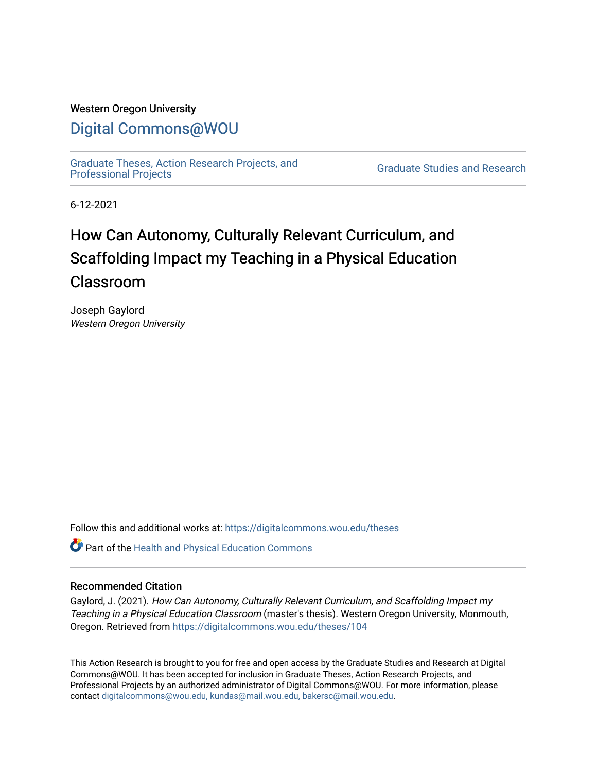# Western Oregon University

# [Digital Commons@WOU](https://digitalcommons.wou.edu/)

[Graduate Theses, Action Research Projects, and](https://digitalcommons.wou.edu/theses) 

**Graduate Studies and Research** 

6-12-2021

# How Can Autonomy, Culturally Relevant Curriculum, and Scaffolding Impact my Teaching in a Physical Education Classroom

Joseph Gaylord Western Oregon University

Follow this and additional works at: [https://digitalcommons.wou.edu/theses](https://digitalcommons.wou.edu/theses?utm_source=digitalcommons.wou.edu%2Ftheses%2F104&utm_medium=PDF&utm_campaign=PDFCoverPages) 

Part of the [Health and Physical Education Commons](https://network.bepress.com/hgg/discipline/1327?utm_source=digitalcommons.wou.edu%2Ftheses%2F104&utm_medium=PDF&utm_campaign=PDFCoverPages)

## Recommended Citation

Gaylord, J. (2021). How Can Autonomy, Culturally Relevant Curriculum, and Scaffolding Impact my Teaching in a Physical Education Classroom (master's thesis). Western Oregon University, Monmouth, Oregon. Retrieved from [https://digitalcommons.wou.edu/theses/104](https://digitalcommons.wou.edu/theses/104?utm_source=digitalcommons.wou.edu%2Ftheses%2F104&utm_medium=PDF&utm_campaign=PDFCoverPages) 

This Action Research is brought to you for free and open access by the Graduate Studies and Research at Digital Commons@WOU. It has been accepted for inclusion in Graduate Theses, Action Research Projects, and Professional Projects by an authorized administrator of Digital Commons@WOU. For more information, please contact [digitalcommons@wou.edu, kundas@mail.wou.edu, bakersc@mail.wou.edu](mailto:digitalcommons@wou.edu,%20kundas@mail.wou.edu,%20bakersc@mail.wou.edu).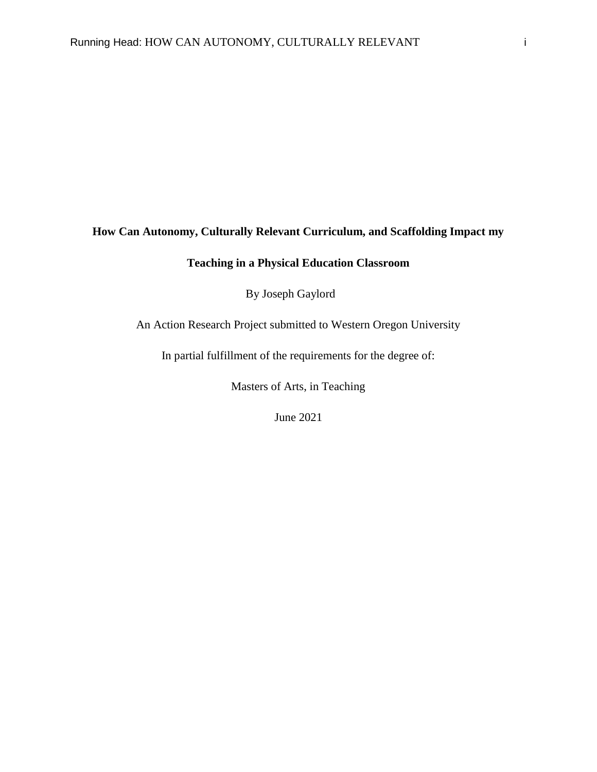# **How Can Autonomy, Culturally Relevant Curriculum, and Scaffolding Impact my**

# **Teaching in a Physical Education Classroom**

By Joseph Gaylord

An Action Research Project submitted to Western Oregon University

In partial fulfillment of the requirements for the degree of:

Masters of Arts, in Teaching

June 2021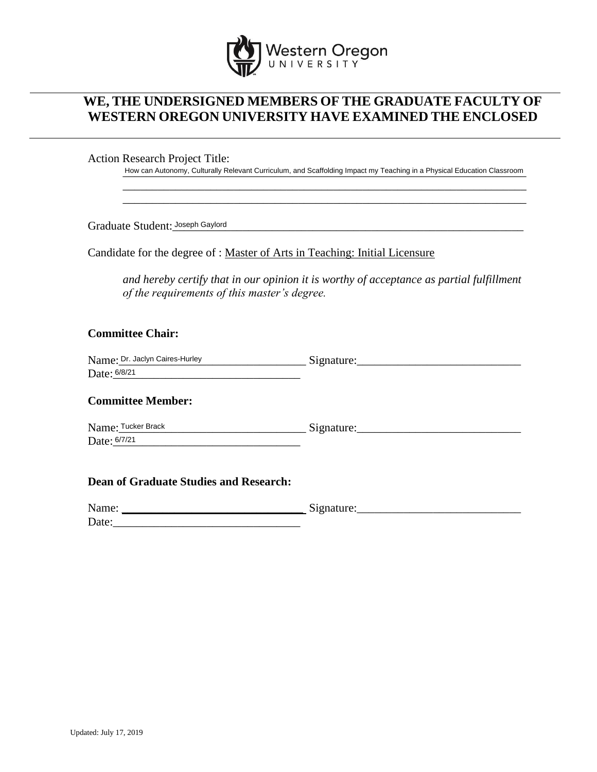

# **WE, THE UNDERSIGNED MEMBERS OF THE GRADUATE FACULTY OF WESTERN OREGON UNIVERSITY HAVE EXAMINED THE ENCLOSED**

Action Research Project Title:

How can Autonomy, Culturally Relevant Curriculum, and Scaffolding Impact my Teaching in a Physical Education Classroom \_\_\_\_\_\_\_\_\_\_\_\_\_\_\_\_\_\_\_\_\_\_\_\_\_\_\_\_\_\_\_\_\_\_\_\_\_\_\_\_\_\_\_\_\_\_\_\_\_\_\_\_\_\_\_\_\_\_\_\_\_\_\_\_\_\_\_\_\_

\_\_\_\_\_\_\_\_\_\_\_\_\_\_\_\_\_\_\_\_\_\_\_\_\_\_\_\_\_\_\_\_\_\_\_\_\_\_\_\_\_\_\_\_\_\_\_\_\_\_\_\_\_\_\_\_\_\_\_\_\_\_\_\_\_\_\_\_\_

Graduate Student: Joseph Gaylord **Summan Community Community Community** Control of the Student: 1988

Candidate for the degree of : Master of Arts in Teaching: Initial Licensure

*and hereby certify that in our opinion it is worthy of acceptance as partial fulfillment of the requirements of this master's degree.*

# **Committee Chair:**

| Name: Dr. Jaclyn Caires-Hurley | Signature. |
|--------------------------------|------------|
| Date: 6/8/21                   |            |

### **Committee Member:**

 $Nignature:$ Date: <u>6/7/21</u> Name: Tucker Brack

### **Dean of Graduate Studies and Research:**

| Name: | $\tilde{\phantom{a}}$<br>$\sim$ |
|-------|---------------------------------|
| Date: |                                 |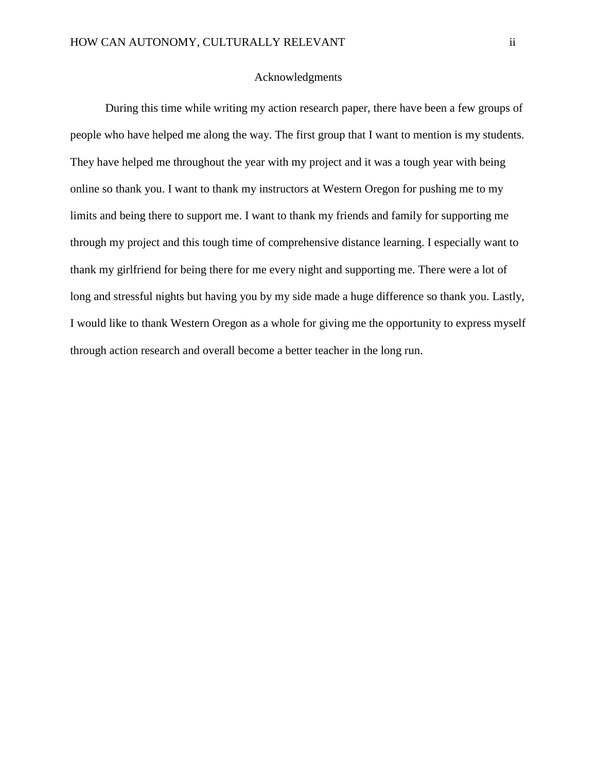# Acknowledgments

During this time while writing my action research paper, there have been a few groups of people who have helped me along the way. The first group that I want to mention is my students. They have helped me throughout the year with my project and it was a tough year with being online so thank you. I want to thank my instructors at Western Oregon for pushing me to my limits and being there to support me. I want to thank my friends and family for supporting me through my project and this tough time of comprehensive distance learning. I especially want to thank my girlfriend for being there for me every night and supporting me. There were a lot of long and stressful nights but having you by my side made a huge difference so thank you. Lastly, I would like to thank Western Oregon as a whole for giving me the opportunity to express myself through action research and overall become a better teacher in the long run.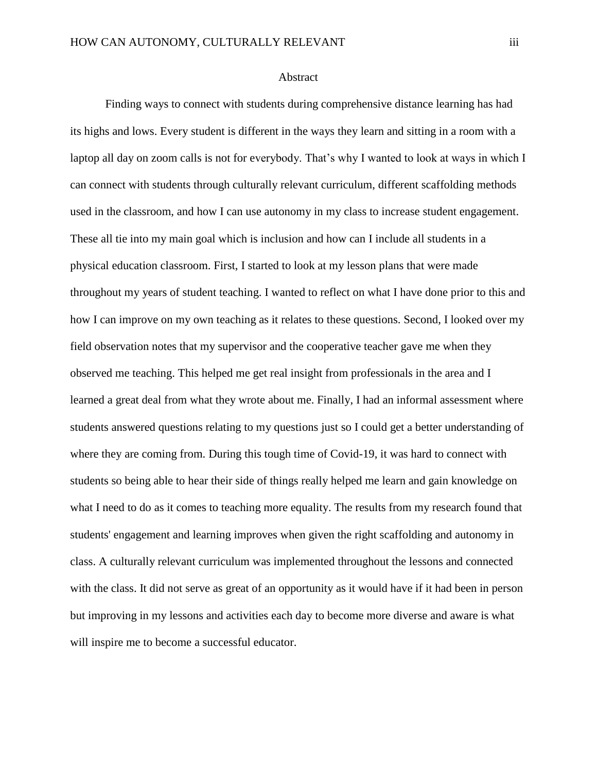### Abstract

Finding ways to connect with students during comprehensive distance learning has had its highs and lows. Every student is different in the ways they learn and sitting in a room with a laptop all day on zoom calls is not for everybody. That's why I wanted to look at ways in which I can connect with students through culturally relevant curriculum, different scaffolding methods used in the classroom, and how I can use autonomy in my class to increase student engagement. These all tie into my main goal which is inclusion and how can I include all students in a physical education classroom. First, I started to look at my lesson plans that were made throughout my years of student teaching. I wanted to reflect on what I have done prior to this and how I can improve on my own teaching as it relates to these questions. Second, I looked over my field observation notes that my supervisor and the cooperative teacher gave me when they observed me teaching. This helped me get real insight from professionals in the area and I learned a great deal from what they wrote about me. Finally, I had an informal assessment where students answered questions relating to my questions just so I could get a better understanding of where they are coming from. During this tough time of Covid-19, it was hard to connect with students so being able to hear their side of things really helped me learn and gain knowledge on what I need to do as it comes to teaching more equality. The results from my research found that students' engagement and learning improves when given the right scaffolding and autonomy in class. A culturally relevant curriculum was implemented throughout the lessons and connected with the class. It did not serve as great of an opportunity as it would have if it had been in person but improving in my lessons and activities each day to become more diverse and aware is what will inspire me to become a successful educator.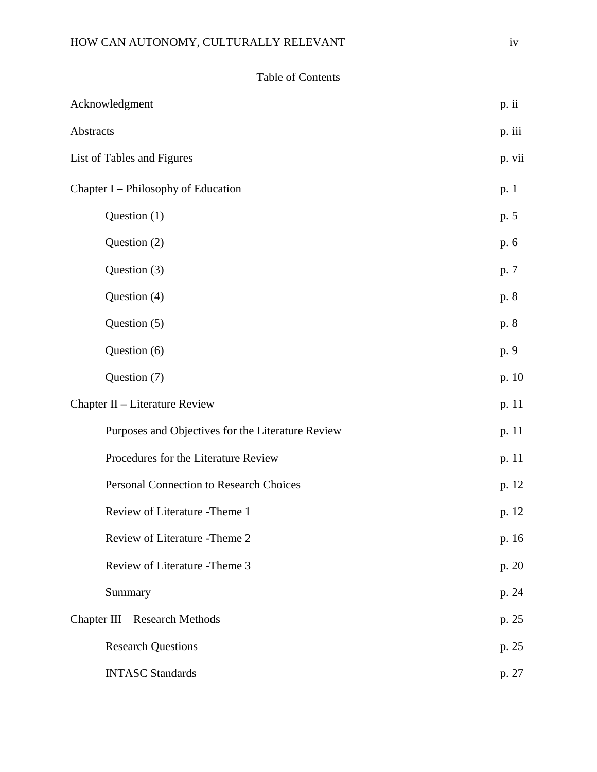|                  | <b>Table of Contents</b>                          |        |
|------------------|---------------------------------------------------|--------|
|                  | Acknowledgment                                    | p. ii  |
| <b>Abstracts</b> |                                                   | p. iii |
|                  | List of Tables and Figures                        | p. vii |
|                  | Chapter I - Philosophy of Education               | p.1    |
|                  | Question (1)                                      | p. 5   |
|                  | Question (2)                                      | p. 6   |
|                  | Question (3)                                      | p. 7   |
|                  | Question (4)                                      | p. 8   |
|                  | Question (5)                                      | p. 8   |
|                  | Question (6)                                      | p. 9   |
|                  | Question (7)                                      | p. 10  |
|                  | Chapter II - Literature Review                    | p. 11  |
|                  | Purposes and Objectives for the Literature Review | p. 11  |
|                  | Procedures for the Literature Review              | p. 11  |
|                  | <b>Personal Connection to Research Choices</b>    | p. 12  |
|                  | Review of Literature -Theme 1                     | p. 12  |
|                  | Review of Literature - Theme 2                    | p. 16  |
|                  | Review of Literature - Theme 3                    | p. 20  |

Summary p. 24

Research Questions p. 25

INTASC Standards p. 27

Chapter III – Research Methods p. 25

### Table of Contents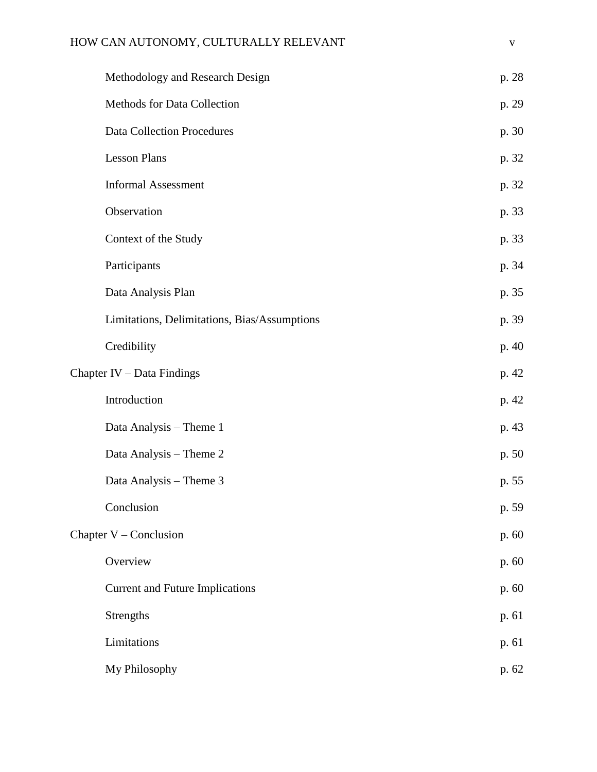# HOW CAN AUTONOMY, CULTURALLY RELEVANT v

| Methodology and Research Design              | p. 28 |
|----------------------------------------------|-------|
| Methods for Data Collection                  | p. 29 |
| <b>Data Collection Procedures</b>            | p. 30 |
| <b>Lesson Plans</b>                          | p. 32 |
| <b>Informal Assessment</b>                   | p. 32 |
| Observation                                  | p. 33 |
| Context of the Study                         | p. 33 |
| Participants                                 | p. 34 |
| Data Analysis Plan                           | p. 35 |
| Limitations, Delimitations, Bias/Assumptions | p. 39 |
| Credibility                                  | p. 40 |
| Chapter IV - Data Findings                   | p. 42 |
| Introduction                                 | p. 42 |
| Data Analysis - Theme 1                      | p. 43 |
| Data Analysis - Theme 2                      | p. 50 |
| Data Analysis - Theme 3                      | p. 55 |
| Conclusion                                   | p. 59 |
| Chapter $V$ – Conclusion                     | p. 60 |
| Overview                                     | p. 60 |
| <b>Current and Future Implications</b>       | p. 60 |
| Strengths                                    | p. 61 |
| Limitations                                  | p. 61 |
| My Philosophy                                | p. 62 |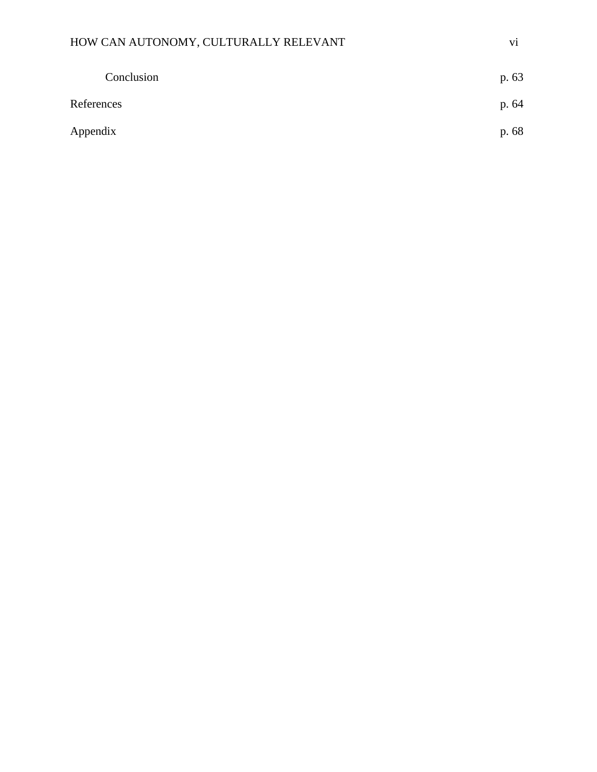# HOW CAN AUTONOMY, CULTURALLY RELEVANT vi

|            | Conclusion | p. 63 |
|------------|------------|-------|
| References |            | p. 64 |
| Appendix   |            | p. 68 |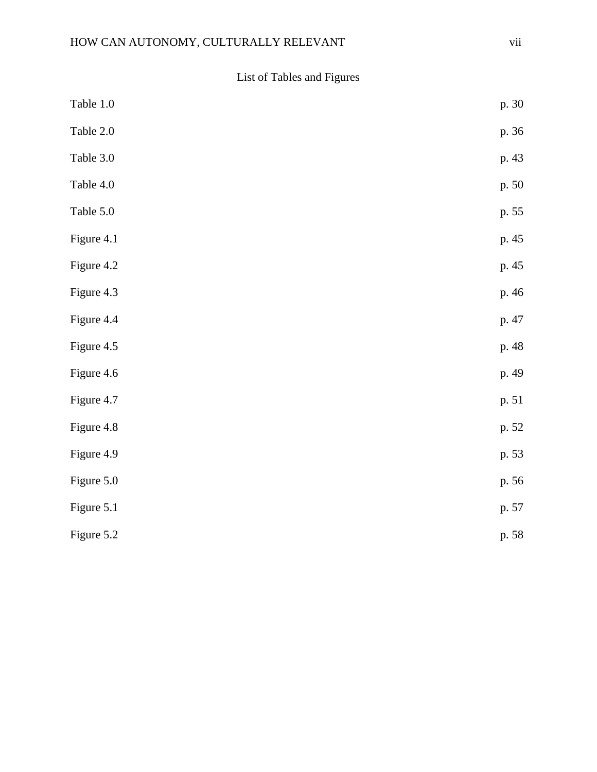List of Tables and Figures

| Table 1.0  | p. 30 |
|------------|-------|
| Table 2.0  | p. 36 |
| Table 3.0  | p. 43 |
| Table 4.0  | p. 50 |
| Table 5.0  | p. 55 |
| Figure 4.1 | p. 45 |
| Figure 4.2 | p. 45 |
| Figure 4.3 | p. 46 |
| Figure 4.4 | p. 47 |
| Figure 4.5 | p. 48 |
| Figure 4.6 | p. 49 |
| Figure 4.7 | p. 51 |
| Figure 4.8 | p. 52 |
| Figure 4.9 | p. 53 |
| Figure 5.0 | p. 56 |
| Figure 5.1 | p. 57 |
| Figure 5.2 | p. 58 |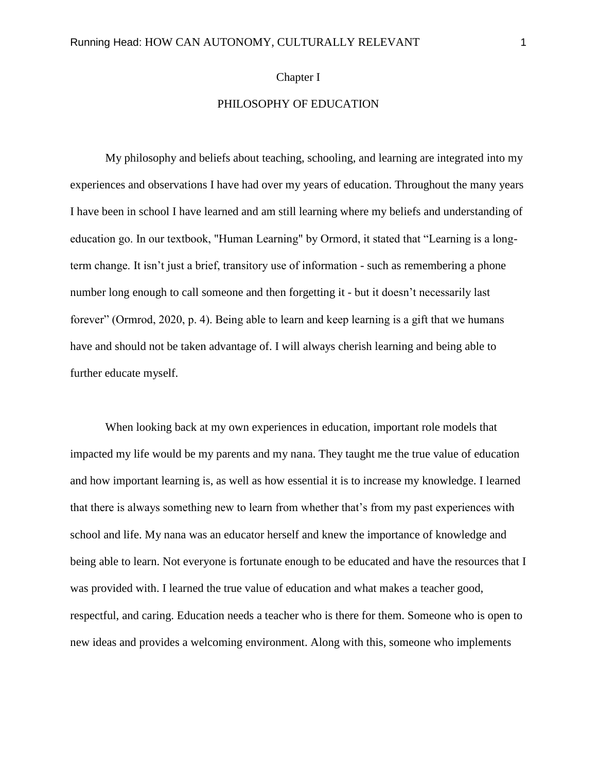### Chapter I

# PHILOSOPHY OF EDUCATION

My philosophy and beliefs about teaching, schooling, and learning are integrated into my experiences and observations I have had over my years of education. Throughout the many years I have been in school I have learned and am still learning where my beliefs and understanding of education go. In our textbook, "Human Learning" by Ormord, it stated that "Learning is a longterm change. It isn't just a brief, transitory use of information - such as remembering a phone number long enough to call someone and then forgetting it - but it doesn't necessarily last forever" (Ormrod, 2020, p. 4). Being able to learn and keep learning is a gift that we humans have and should not be taken advantage of. I will always cherish learning and being able to further educate myself.

When looking back at my own experiences in education, important role models that impacted my life would be my parents and my nana. They taught me the true value of education and how important learning is, as well as how essential it is to increase my knowledge. I learned that there is always something new to learn from whether that's from my past experiences with school and life. My nana was an educator herself and knew the importance of knowledge and being able to learn. Not everyone is fortunate enough to be educated and have the resources that I was provided with. I learned the true value of education and what makes a teacher good, respectful, and caring. Education needs a teacher who is there for them. Someone who is open to new ideas and provides a welcoming environment. Along with this, someone who implements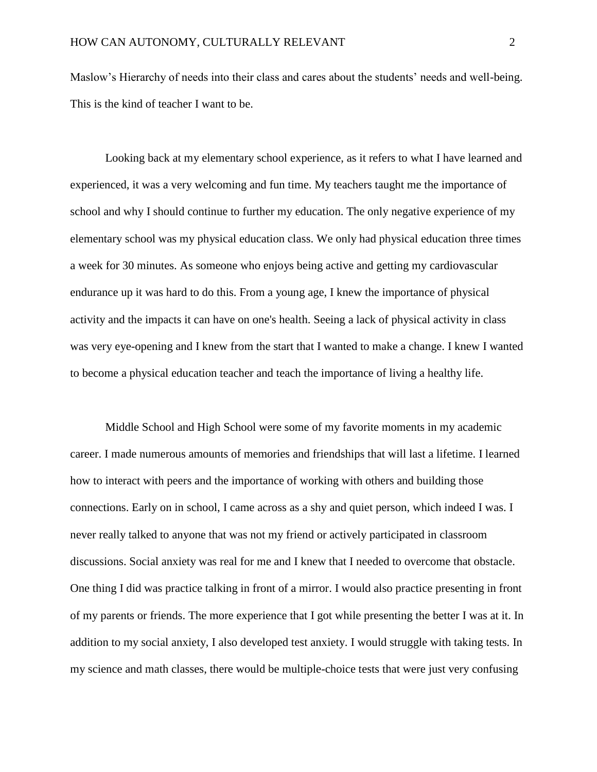Maslow's Hierarchy of needs into their class and cares about the students' needs and well-being. This is the kind of teacher I want to be.

Looking back at my elementary school experience, as it refers to what I have learned and experienced, it was a very welcoming and fun time. My teachers taught me the importance of school and why I should continue to further my education. The only negative experience of my elementary school was my physical education class. We only had physical education three times a week for 30 minutes. As someone who enjoys being active and getting my cardiovascular endurance up it was hard to do this. From a young age, I knew the importance of physical activity and the impacts it can have on one's health. Seeing a lack of physical activity in class was very eye-opening and I knew from the start that I wanted to make a change. I knew I wanted to become a physical education teacher and teach the importance of living a healthy life.

Middle School and High School were some of my favorite moments in my academic career. I made numerous amounts of memories and friendships that will last a lifetime. I learned how to interact with peers and the importance of working with others and building those connections. Early on in school, I came across as a shy and quiet person, which indeed I was. I never really talked to anyone that was not my friend or actively participated in classroom discussions. Social anxiety was real for me and I knew that I needed to overcome that obstacle. One thing I did was practice talking in front of a mirror. I would also practice presenting in front of my parents or friends. The more experience that I got while presenting the better I was at it. In addition to my social anxiety, I also developed test anxiety. I would struggle with taking tests. In my science and math classes, there would be multiple-choice tests that were just very confusing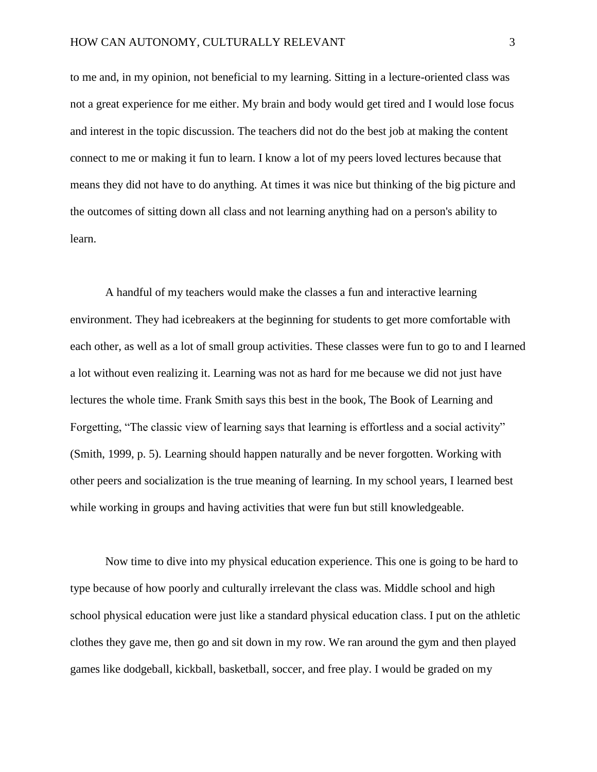to me and, in my opinion, not beneficial to my learning. Sitting in a lecture-oriented class was not a great experience for me either. My brain and body would get tired and I would lose focus and interest in the topic discussion. The teachers did not do the best job at making the content connect to me or making it fun to learn. I know a lot of my peers loved lectures because that means they did not have to do anything. At times it was nice but thinking of the big picture and the outcomes of sitting down all class and not learning anything had on a person's ability to learn.

A handful of my teachers would make the classes a fun and interactive learning environment. They had icebreakers at the beginning for students to get more comfortable with each other, as well as a lot of small group activities. These classes were fun to go to and I learned a lot without even realizing it. Learning was not as hard for me because we did not just have lectures the whole time. Frank Smith says this best in the book, The Book of Learning and Forgetting, "The classic view of learning says that learning is effortless and a social activity" (Smith, 1999, p. 5). Learning should happen naturally and be never forgotten. Working with other peers and socialization is the true meaning of learning. In my school years, I learned best while working in groups and having activities that were fun but still knowledgeable.

Now time to dive into my physical education experience. This one is going to be hard to type because of how poorly and culturally irrelevant the class was. Middle school and high school physical education were just like a standard physical education class. I put on the athletic clothes they gave me, then go and sit down in my row. We ran around the gym and then played games like dodgeball, kickball, basketball, soccer, and free play. I would be graded on my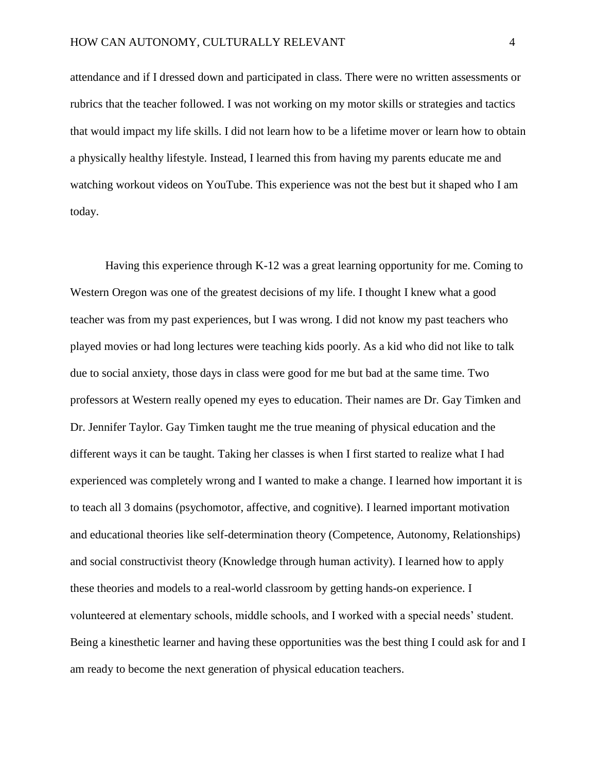attendance and if I dressed down and participated in class. There were no written assessments or rubrics that the teacher followed. I was not working on my motor skills or strategies and tactics that would impact my life skills. I did not learn how to be a lifetime mover or learn how to obtain a physically healthy lifestyle. Instead, I learned this from having my parents educate me and watching workout videos on YouTube. This experience was not the best but it shaped who I am today.

Having this experience through K-12 was a great learning opportunity for me. Coming to Western Oregon was one of the greatest decisions of my life. I thought I knew what a good teacher was from my past experiences, but I was wrong. I did not know my past teachers who played movies or had long lectures were teaching kids poorly. As a kid who did not like to talk due to social anxiety, those days in class were good for me but bad at the same time. Two professors at Western really opened my eyes to education. Their names are Dr. Gay Timken and Dr. Jennifer Taylor. Gay Timken taught me the true meaning of physical education and the different ways it can be taught. Taking her classes is when I first started to realize what I had experienced was completely wrong and I wanted to make a change. I learned how important it is to teach all 3 domains (psychomotor, affective, and cognitive). I learned important motivation and educational theories like self-determination theory (Competence, Autonomy, Relationships) and social constructivist theory (Knowledge through human activity). I learned how to apply these theories and models to a real-world classroom by getting hands-on experience. I volunteered at elementary schools, middle schools, and I worked with a special needs' student. Being a kinesthetic learner and having these opportunities was the best thing I could ask for and I am ready to become the next generation of physical education teachers.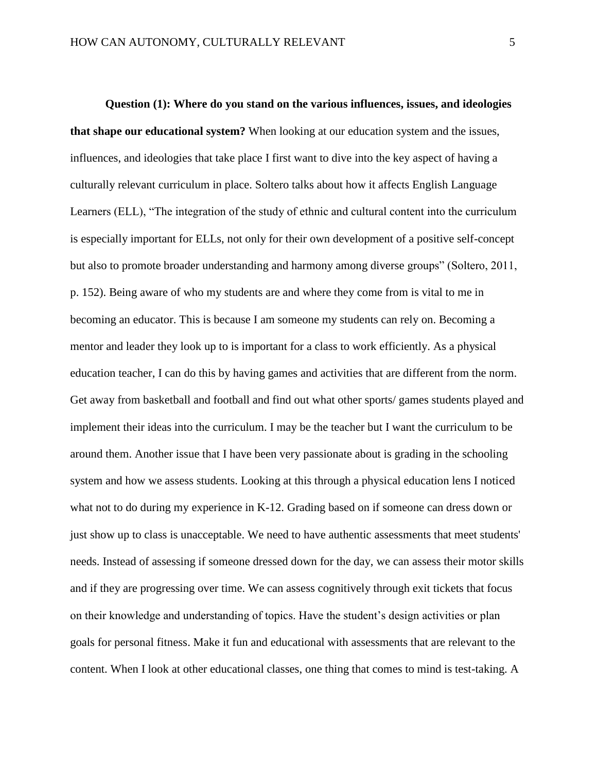**Question (1): Where do you stand on the various influences, issues, and ideologies that shape our educational system?** When looking at our education system and the issues, influences, and ideologies that take place I first want to dive into the key aspect of having a culturally relevant curriculum in place. Soltero talks about how it affects English Language Learners (ELL), "The integration of the study of ethnic and cultural content into the curriculum is especially important for ELLs, not only for their own development of a positive self-concept but also to promote broader understanding and harmony among diverse groups" (Soltero, 2011, p. 152). Being aware of who my students are and where they come from is vital to me in becoming an educator. This is because I am someone my students can rely on. Becoming a mentor and leader they look up to is important for a class to work efficiently. As a physical education teacher, I can do this by having games and activities that are different from the norm. Get away from basketball and football and find out what other sports/ games students played and implement their ideas into the curriculum. I may be the teacher but I want the curriculum to be around them. Another issue that I have been very passionate about is grading in the schooling system and how we assess students. Looking at this through a physical education lens I noticed what not to do during my experience in K-12. Grading based on if someone can dress down or just show up to class is unacceptable. We need to have authentic assessments that meet students' needs. Instead of assessing if someone dressed down for the day, we can assess their motor skills and if they are progressing over time. We can assess cognitively through exit tickets that focus on their knowledge and understanding of topics. Have the student's design activities or plan goals for personal fitness. Make it fun and educational with assessments that are relevant to the content. When I look at other educational classes, one thing that comes to mind is test-taking. A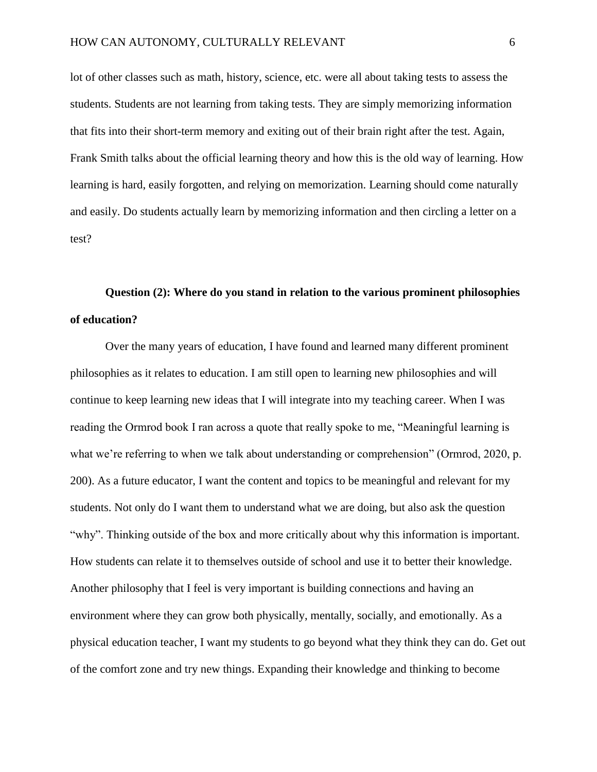lot of other classes such as math, history, science, etc. were all about taking tests to assess the students. Students are not learning from taking tests. They are simply memorizing information that fits into their short-term memory and exiting out of their brain right after the test. Again, Frank Smith talks about the official learning theory and how this is the old way of learning. How learning is hard, easily forgotten, and relying on memorization. Learning should come naturally and easily. Do students actually learn by memorizing information and then circling a letter on a test?

# **Question (2): Where do you stand in relation to the various prominent philosophies of education?**

Over the many years of education, I have found and learned many different prominent philosophies as it relates to education. I am still open to learning new philosophies and will continue to keep learning new ideas that I will integrate into my teaching career. When I was reading the Ormrod book I ran across a quote that really spoke to me, "Meaningful learning is what we're referring to when we talk about understanding or comprehension" (Ormrod, 2020, p. 200). As a future educator, I want the content and topics to be meaningful and relevant for my students. Not only do I want them to understand what we are doing, but also ask the question "why". Thinking outside of the box and more critically about why this information is important. How students can relate it to themselves outside of school and use it to better their knowledge. Another philosophy that I feel is very important is building connections and having an environment where they can grow both physically, mentally, socially, and emotionally. As a physical education teacher, I want my students to go beyond what they think they can do. Get out of the comfort zone and try new things. Expanding their knowledge and thinking to become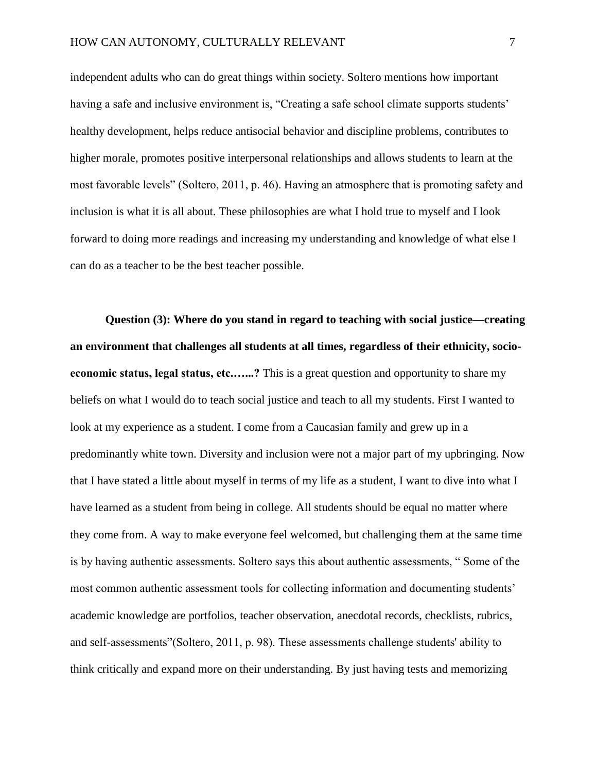independent adults who can do great things within society. Soltero mentions how important having a safe and inclusive environment is, "Creating a safe school climate supports students' healthy development, helps reduce antisocial behavior and discipline problems, contributes to higher morale, promotes positive interpersonal relationships and allows students to learn at the most favorable levels" (Soltero, 2011, p. 46). Having an atmosphere that is promoting safety and inclusion is what it is all about. These philosophies are what I hold true to myself and I look forward to doing more readings and increasing my understanding and knowledge of what else I can do as a teacher to be the best teacher possible.

**Question (3): Where do you stand in regard to teaching with social justice—creating an environment that challenges all students at all times, regardless of their ethnicity, socioeconomic status, legal status, etc.…...?** This is a great question and opportunity to share my beliefs on what I would do to teach social justice and teach to all my students. First I wanted to look at my experience as a student. I come from a Caucasian family and grew up in a predominantly white town. Diversity and inclusion were not a major part of my upbringing. Now that I have stated a little about myself in terms of my life as a student, I want to dive into what I have learned as a student from being in college. All students should be equal no matter where they come from. A way to make everyone feel welcomed, but challenging them at the same time is by having authentic assessments. Soltero says this about authentic assessments, " Some of the most common authentic assessment tools for collecting information and documenting students' academic knowledge are portfolios, teacher observation, anecdotal records, checklists, rubrics, and self-assessments"(Soltero, 2011, p. 98). These assessments challenge students' ability to think critically and expand more on their understanding. By just having tests and memorizing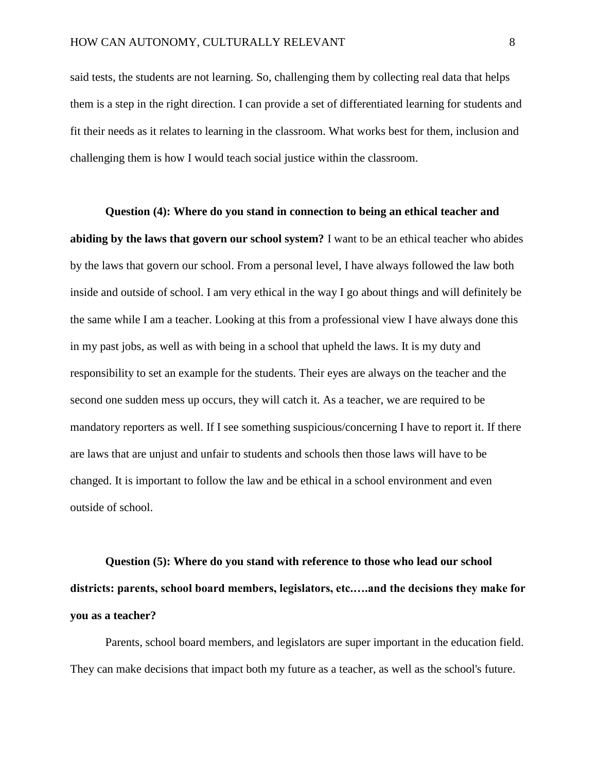said tests, the students are not learning. So, challenging them by collecting real data that helps them is a step in the right direction. I can provide a set of differentiated learning for students and fit their needs as it relates to learning in the classroom. What works best for them, inclusion and challenging them is how I would teach social justice within the classroom.

**Question (4): Where do you stand in connection to being an ethical teacher and abiding by the laws that govern our school system?** I want to be an ethical teacher who abides by the laws that govern our school. From a personal level, I have always followed the law both inside and outside of school. I am very ethical in the way I go about things and will definitely be the same while I am a teacher. Looking at this from a professional view I have always done this in my past jobs, as well as with being in a school that upheld the laws. It is my duty and responsibility to set an example for the students. Their eyes are always on the teacher and the second one sudden mess up occurs, they will catch it. As a teacher, we are required to be mandatory reporters as well. If I see something suspicious/concerning I have to report it. If there are laws that are unjust and unfair to students and schools then those laws will have to be changed. It is important to follow the law and be ethical in a school environment and even outside of school.

**Question (5): Where do you stand with reference to those who lead our school districts: parents, school board members, legislators, etc.….and the decisions they make for you as a teacher?** 

Parents, school board members, and legislators are super important in the education field. They can make decisions that impact both my future as a teacher, as well as the school's future.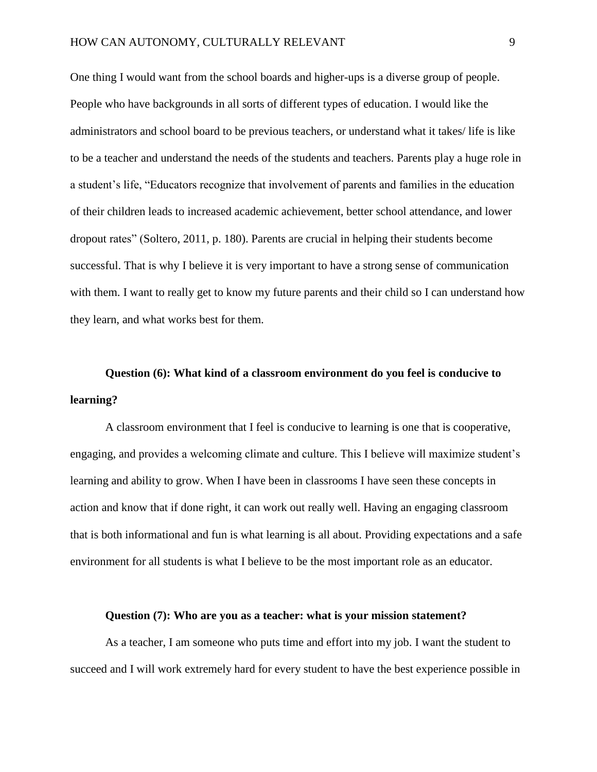One thing I would want from the school boards and higher-ups is a diverse group of people. People who have backgrounds in all sorts of different types of education. I would like the administrators and school board to be previous teachers, or understand what it takes/ life is like to be a teacher and understand the needs of the students and teachers. Parents play a huge role in a student's life, "Educators recognize that involvement of parents and families in the education of their children leads to increased academic achievement, better school attendance, and lower dropout rates" (Soltero, 2011, p. 180). Parents are crucial in helping their students become successful. That is why I believe it is very important to have a strong sense of communication with them. I want to really get to know my future parents and their child so I can understand how they learn, and what works best for them.

# **Question (6): What kind of a classroom environment do you feel is conducive to learning?**

A classroom environment that I feel is conducive to learning is one that is cooperative, engaging, and provides a welcoming climate and culture. This I believe will maximize student's learning and ability to grow. When I have been in classrooms I have seen these concepts in action and know that if done right, it can work out really well. Having an engaging classroom that is both informational and fun is what learning is all about. Providing expectations and a safe environment for all students is what I believe to be the most important role as an educator.

#### **Question (7): Who are you as a teacher: what is your mission statement?**

As a teacher, I am someone who puts time and effort into my job. I want the student to succeed and I will work extremely hard for every student to have the best experience possible in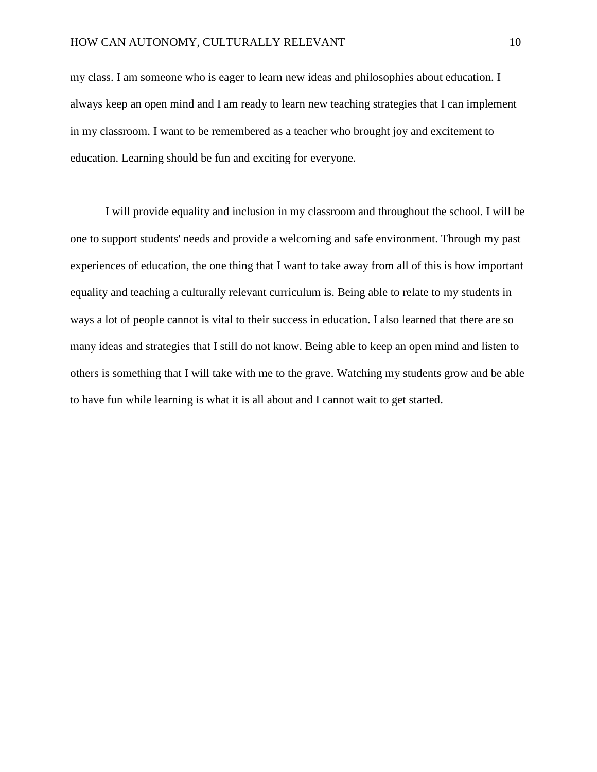my class. I am someone who is eager to learn new ideas and philosophies about education. I always keep an open mind and I am ready to learn new teaching strategies that I can implement in my classroom. I want to be remembered as a teacher who brought joy and excitement to education. Learning should be fun and exciting for everyone.

I will provide equality and inclusion in my classroom and throughout the school. I will be one to support students' needs and provide a welcoming and safe environment. Through my past experiences of education, the one thing that I want to take away from all of this is how important equality and teaching a culturally relevant curriculum is. Being able to relate to my students in ways a lot of people cannot is vital to their success in education. I also learned that there are so many ideas and strategies that I still do not know. Being able to keep an open mind and listen to others is something that I will take with me to the grave. Watching my students grow and be able to have fun while learning is what it is all about and I cannot wait to get started.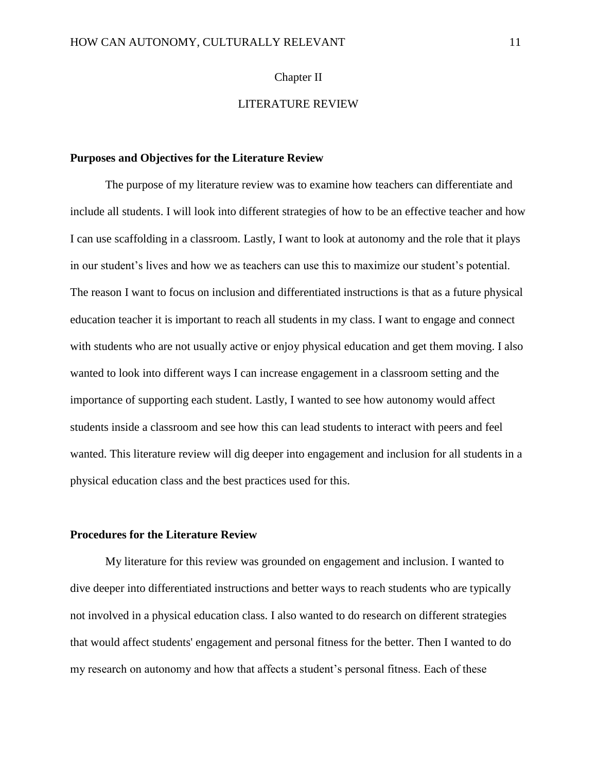## Chapter II

# LITERATURE REVIEW

### **Purposes and Objectives for the Literature Review**

The purpose of my literature review was to examine how teachers can differentiate and include all students. I will look into different strategies of how to be an effective teacher and how I can use scaffolding in a classroom. Lastly, I want to look at autonomy and the role that it plays in our student's lives and how we as teachers can use this to maximize our student's potential. The reason I want to focus on inclusion and differentiated instructions is that as a future physical education teacher it is important to reach all students in my class. I want to engage and connect with students who are not usually active or enjoy physical education and get them moving. I also wanted to look into different ways I can increase engagement in a classroom setting and the importance of supporting each student. Lastly, I wanted to see how autonomy would affect students inside a classroom and see how this can lead students to interact with peers and feel wanted. This literature review will dig deeper into engagement and inclusion for all students in a physical education class and the best practices used for this.

### **Procedures for the Literature Review**

My literature for this review was grounded on engagement and inclusion. I wanted to dive deeper into differentiated instructions and better ways to reach students who are typically not involved in a physical education class. I also wanted to do research on different strategies that would affect students' engagement and personal fitness for the better. Then I wanted to do my research on autonomy and how that affects a student's personal fitness. Each of these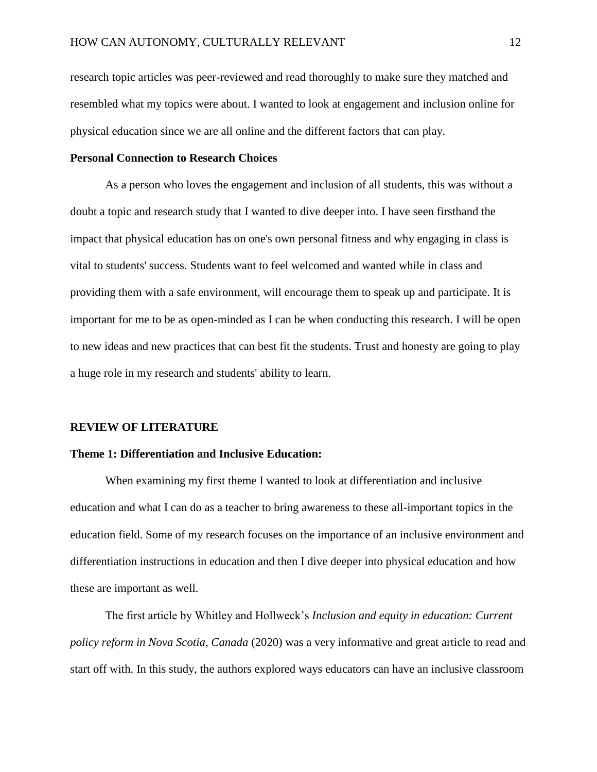research topic articles was peer-reviewed and read thoroughly to make sure they matched and resembled what my topics were about. I wanted to look at engagement and inclusion online for physical education since we are all online and the different factors that can play.

## **Personal Connection to Research Choices**

As a person who loves the engagement and inclusion of all students, this was without a doubt a topic and research study that I wanted to dive deeper into. I have seen firsthand the impact that physical education has on one's own personal fitness and why engaging in class is vital to students' success. Students want to feel welcomed and wanted while in class and providing them with a safe environment, will encourage them to speak up and participate. It is important for me to be as open-minded as I can be when conducting this research. I will be open to new ideas and new practices that can best fit the students. Trust and honesty are going to play a huge role in my research and students' ability to learn.

#### **REVIEW OF LITERATURE**

#### **Theme 1: Differentiation and Inclusive Education:**

When examining my first theme I wanted to look at differentiation and inclusive education and what I can do as a teacher to bring awareness to these all-important topics in the education field. Some of my research focuses on the importance of an inclusive environment and differentiation instructions in education and then I dive deeper into physical education and how these are important as well.

The first article by Whitley and Hollweck's *Inclusion and equity in education: Current policy reform in Nova Scotia, Canada* (2020) was a very informative and great article to read and start off with. In this study, the authors explored ways educators can have an inclusive classroom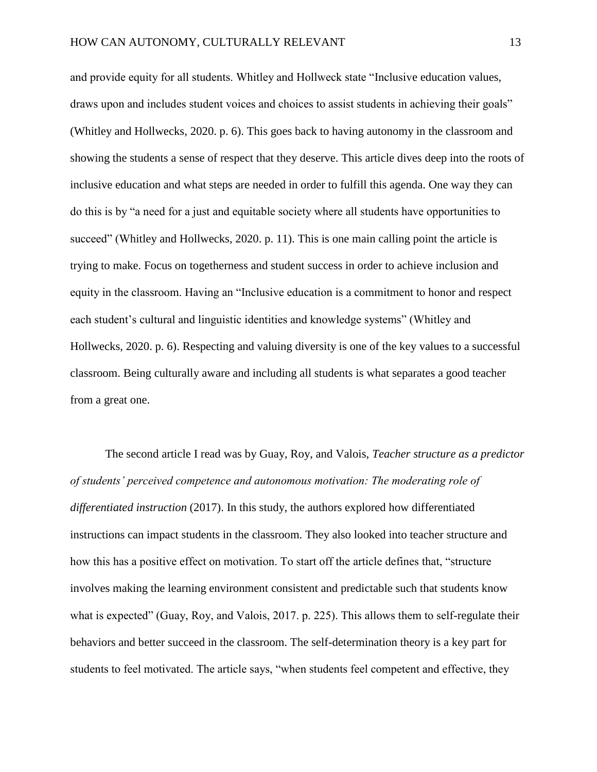and provide equity for all students. Whitley and Hollweck state "Inclusive education values, draws upon and includes student voices and choices to assist students in achieving their goals" (Whitley and Hollwecks, 2020. p. 6). This goes back to having autonomy in the classroom and showing the students a sense of respect that they deserve. This article dives deep into the roots of inclusive education and what steps are needed in order to fulfill this agenda. One way they can do this is by "a need for a just and equitable society where all students have opportunities to succeed" (Whitley and Hollwecks, 2020. p. 11). This is one main calling point the article is trying to make. Focus on togetherness and student success in order to achieve inclusion and equity in the classroom. Having an "Inclusive education is a commitment to honor and respect each student's cultural and linguistic identities and knowledge systems" (Whitley and Hollwecks, 2020. p. 6). Respecting and valuing diversity is one of the key values to a successful classroom. Being culturally aware and including all students is what separates a good teacher from a great one.

The second article I read was by Guay, Roy, and Valois, *Teacher structure as a predictor of students' perceived competence and autonomous motivation: The moderating role of differentiated instruction* (2017). In this study, the authors explored how differentiated instructions can impact students in the classroom. They also looked into teacher structure and how this has a positive effect on motivation. To start off the article defines that, "structure involves making the learning environment consistent and predictable such that students know what is expected" (Guay, Roy, and Valois, 2017. p. 225). This allows them to self-regulate their behaviors and better succeed in the classroom. The self-determination theory is a key part for students to feel motivated. The article says, "when students feel competent and effective, they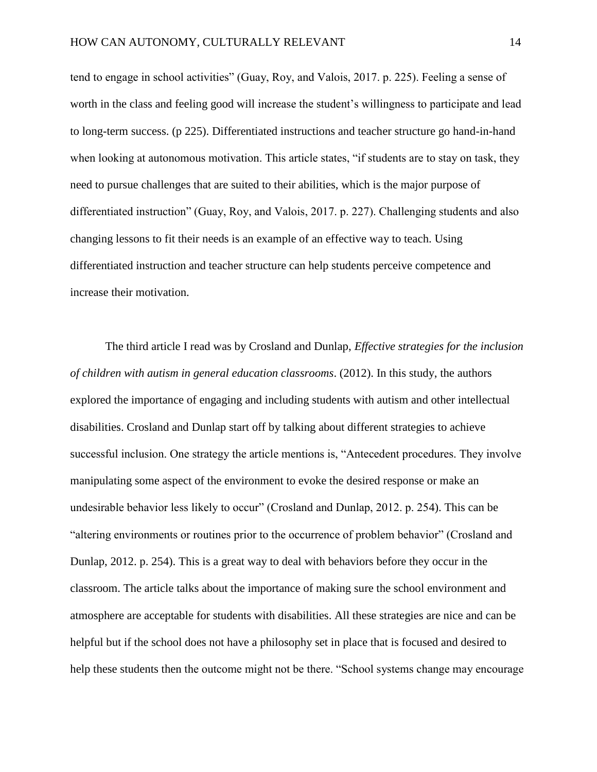tend to engage in school activities" (Guay, Roy, and Valois, 2017. p. 225). Feeling a sense of worth in the class and feeling good will increase the student's willingness to participate and lead to long-term success. (p 225). Differentiated instructions and teacher structure go hand-in-hand when looking at autonomous motivation. This article states, "if students are to stay on task, they need to pursue challenges that are suited to their abilities, which is the major purpose of differentiated instruction" (Guay, Roy, and Valois, 2017. p. 227). Challenging students and also changing lessons to fit their needs is an example of an effective way to teach. Using differentiated instruction and teacher structure can help students perceive competence and increase their motivation.

The third article I read was by Crosland and Dunlap, *Effective strategies for the inclusion of children with autism in general education classrooms*. (2012). In this study, the authors explored the importance of engaging and including students with autism and other intellectual disabilities. Crosland and Dunlap start off by talking about different strategies to achieve successful inclusion. One strategy the article mentions is, "Antecedent procedures. They involve manipulating some aspect of the environment to evoke the desired response or make an undesirable behavior less likely to occur" (Crosland and Dunlap, 2012. p. 254). This can be "altering environments or routines prior to the occurrence of problem behavior" (Crosland and Dunlap, 2012. p. 254). This is a great way to deal with behaviors before they occur in the classroom. The article talks about the importance of making sure the school environment and atmosphere are acceptable for students with disabilities. All these strategies are nice and can be helpful but if the school does not have a philosophy set in place that is focused and desired to help these students then the outcome might not be there. "School systems change may encourage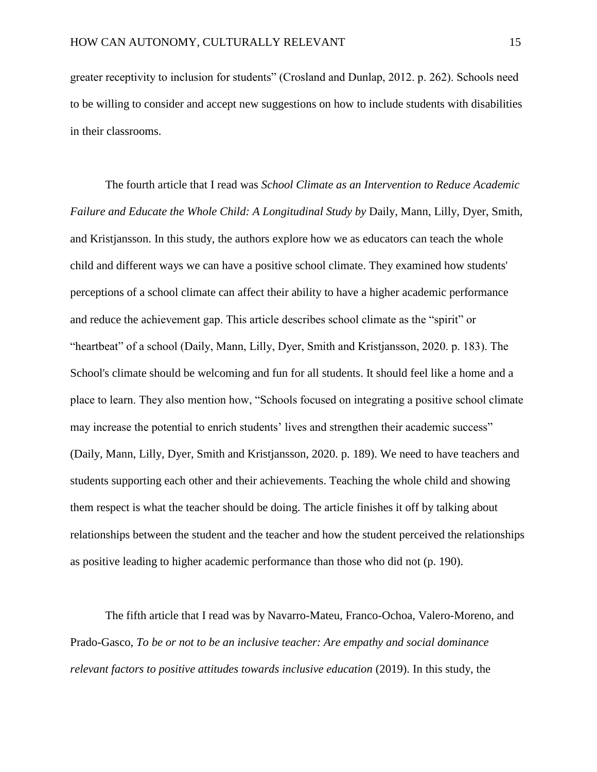greater receptivity to inclusion for students" (Crosland and Dunlap, 2012. p. 262). Schools need to be willing to consider and accept new suggestions on how to include students with disabilities in their classrooms.

The fourth article that I read was *School Climate as an Intervention to Reduce Academic Failure and Educate the Whole Child: A Longitudinal Study by* Daily, Mann, Lilly, Dyer, Smith, and Kristjansson. In this study, the authors explore how we as educators can teach the whole child and different ways we can have a positive school climate. They examined how students' perceptions of a school climate can affect their ability to have a higher academic performance and reduce the achievement gap. This article describes school climate as the "spirit" or "heartbeat" of a school (Daily, Mann, Lilly, Dyer, Smith and Kristjansson, 2020. p. 183). The School's climate should be welcoming and fun for all students. It should feel like a home and a place to learn. They also mention how, "Schools focused on integrating a positive school climate may increase the potential to enrich students' lives and strengthen their academic success" (Daily, Mann, Lilly, Dyer, Smith and Kristjansson, 2020. p. 189). We need to have teachers and students supporting each other and their achievements. Teaching the whole child and showing them respect is what the teacher should be doing. The article finishes it off by talking about relationships between the student and the teacher and how the student perceived the relationships as positive leading to higher academic performance than those who did not (p. 190).

The fifth article that I read was by Navarro-Mateu, Franco-Ochoa, Valero-Moreno, and Prado-Gasco, *To be or not to be an inclusive teacher: Are empathy and social dominance relevant factors to positive attitudes towards inclusive education (2019). In this study, the*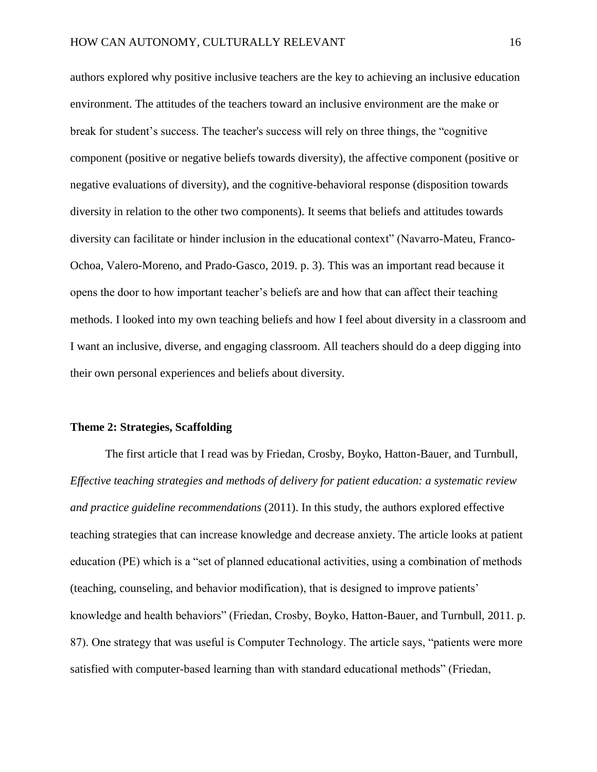authors explored why positive inclusive teachers are the key to achieving an inclusive education environment. The attitudes of the teachers toward an inclusive environment are the make or break for student's success. The teacher's success will rely on three things, the "cognitive component (positive or negative beliefs towards diversity), the affective component (positive or negative evaluations of diversity), and the cognitive-behavioral response (disposition towards diversity in relation to the other two components). It seems that beliefs and attitudes towards diversity can facilitate or hinder inclusion in the educational context" (Navarro-Mateu, Franco-Ochoa, Valero-Moreno, and Prado-Gasco, 2019. p. 3). This was an important read because it opens the door to how important teacher's beliefs are and how that can affect their teaching methods. I looked into my own teaching beliefs and how I feel about diversity in a classroom and I want an inclusive, diverse, and engaging classroom. All teachers should do a deep digging into their own personal experiences and beliefs about diversity.

#### **Theme 2: Strategies, Scaffolding**

The first article that I read was by Friedan, Crosby, Boyko, Hatton-Bauer, and Turnbull, *Effective teaching strategies and methods of delivery for patient education: a systematic review and practice guideline recommendations* (2011). In this study, the authors explored effective teaching strategies that can increase knowledge and decrease anxiety. The article looks at patient education (PE) which is a "set of planned educational activities, using a combination of methods (teaching, counseling, and behavior modification), that is designed to improve patients' knowledge and health behaviors" (Friedan, Crosby, Boyko, Hatton-Bauer, and Turnbull, 2011. p. 87). One strategy that was useful is Computer Technology. The article says, "patients were more satisfied with computer-based learning than with standard educational methods" (Friedan,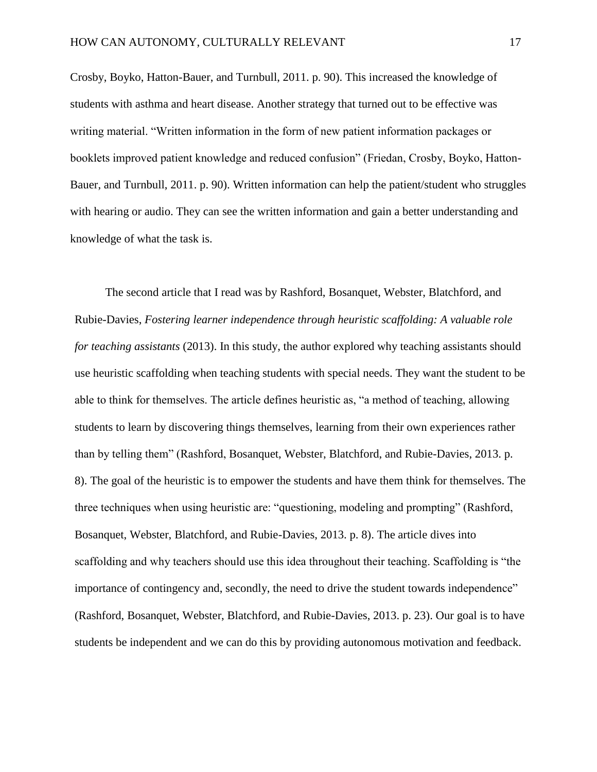Crosby, Boyko, Hatton-Bauer, and Turnbull, 2011. p. 90). This increased the knowledge of students with asthma and heart disease. Another strategy that turned out to be effective was writing material. "Written information in the form of new patient information packages or booklets improved patient knowledge and reduced confusion" (Friedan, Crosby, Boyko, Hatton-Bauer, and Turnbull, 2011. p. 90). Written information can help the patient/student who struggles with hearing or audio. They can see the written information and gain a better understanding and knowledge of what the task is.

The second article that I read was by Rashford, Bosanquet, Webster, Blatchford, and Rubie-Davies, *Fostering learner independence through heuristic scaffolding: A valuable role for teaching assistants* (2013). In this study, the author explored why teaching assistants should use heuristic scaffolding when teaching students with special needs. They want the student to be able to think for themselves. The article defines heuristic as, "a method of teaching, allowing students to learn by discovering things themselves, learning from their own experiences rather than by telling them" (Rashford, Bosanquet, Webster, Blatchford, and Rubie-Davies, 2013. p. 8). The goal of the heuristic is to empower the students and have them think for themselves. The three techniques when using heuristic are: "questioning, modeling and prompting" (Rashford, Bosanquet, Webster, Blatchford, and Rubie-Davies, 2013. p. 8). The article dives into scaffolding and why teachers should use this idea throughout their teaching. Scaffolding is "the importance of contingency and, secondly, the need to drive the student towards independence" (Rashford, Bosanquet, Webster, Blatchford, and Rubie-Davies, 2013. p. 23). Our goal is to have students be independent and we can do this by providing autonomous motivation and feedback.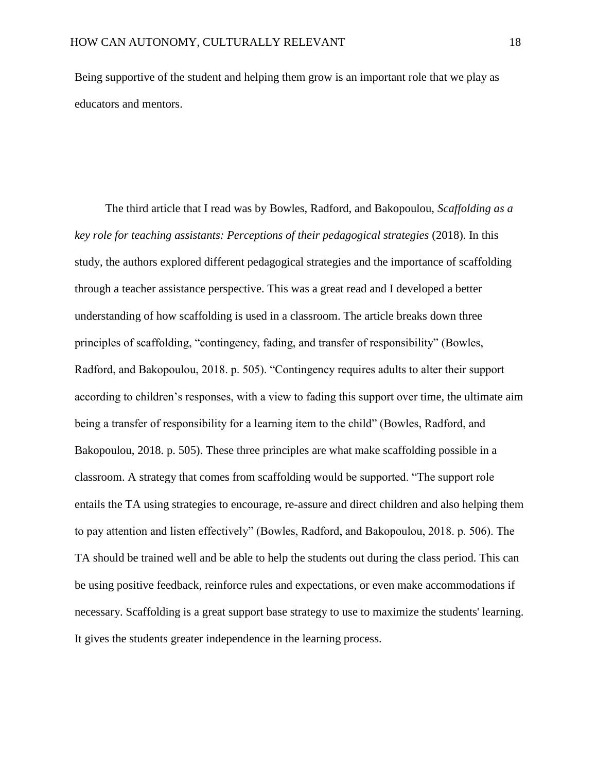Being supportive of the student and helping them grow is an important role that we play as educators and mentors.

The third article that I read was by Bowles, Radford, and Bakopoulou, *Scaffolding as a key role for teaching assistants: Perceptions of their pedagogical strategies* (2018). In this study, the authors explored different pedagogical strategies and the importance of scaffolding through a teacher assistance perspective. This was a great read and I developed a better understanding of how scaffolding is used in a classroom. The article breaks down three principles of scaffolding, "contingency, fading, and transfer of responsibility" (Bowles, Radford, and Bakopoulou, 2018. p. 505). "Contingency requires adults to alter their support according to children's responses, with a view to fading this support over time, the ultimate aim being a transfer of responsibility for a learning item to the child" (Bowles, Radford, and Bakopoulou, 2018. p. 505). These three principles are what make scaffolding possible in a classroom. A strategy that comes from scaffolding would be supported. "The support role entails the TA using strategies to encourage, re-assure and direct children and also helping them to pay attention and listen effectively" (Bowles, Radford, and Bakopoulou, 2018. p. 506). The TA should be trained well and be able to help the students out during the class period. This can be using positive feedback, reinforce rules and expectations, or even make accommodations if necessary. Scaffolding is a great support base strategy to use to maximize the students' learning. It gives the students greater independence in the learning process.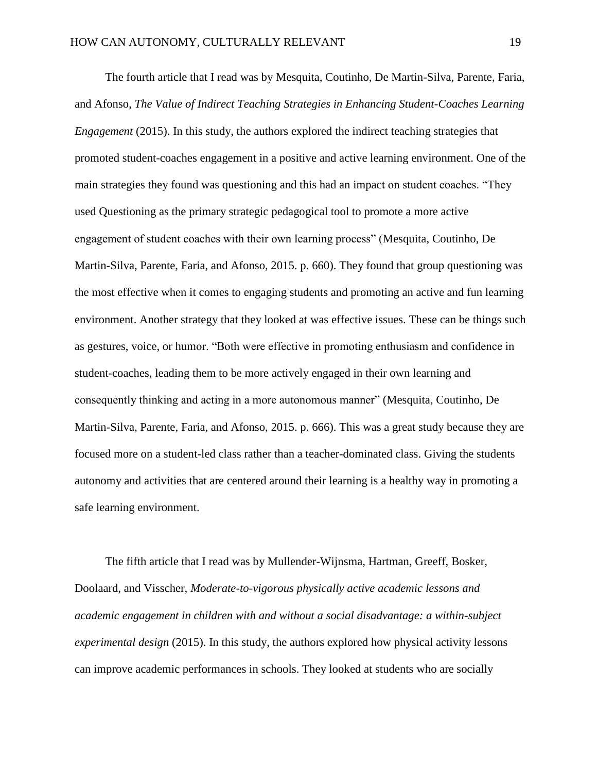The fourth article that I read was by Mesquita, Coutinho, De Martin-Silva, Parente, Faria, and Afonso, *The Value of Indirect Teaching Strategies in Enhancing Student-Coaches Learning Engagement* (2015). In this study, the authors explored the indirect teaching strategies that promoted student-coaches engagement in a positive and active learning environment. One of the main strategies they found was questioning and this had an impact on student coaches. "They used Questioning as the primary strategic pedagogical tool to promote a more active engagement of student coaches with their own learning process" (Mesquita, Coutinho, De Martin-Silva, Parente, Faria, and Afonso, 2015. p. 660). They found that group questioning was the most effective when it comes to engaging students and promoting an active and fun learning environment. Another strategy that they looked at was effective issues. These can be things such as gestures, voice, or humor. "Both were effective in promoting enthusiasm and confidence in student-coaches, leading them to be more actively engaged in their own learning and consequently thinking and acting in a more autonomous manner" (Mesquita, Coutinho, De Martin-Silva, Parente, Faria, and Afonso, 2015. p. 666). This was a great study because they are focused more on a student-led class rather than a teacher-dominated class. Giving the students autonomy and activities that are centered around their learning is a healthy way in promoting a safe learning environment.

The fifth article that I read was by Mullender-Wijnsma, Hartman, Greeff, Bosker, Doolaard, and Visscher, *Moderate-to-vigorous physically active academic lessons and academic engagement in children with and without a social disadvantage: a within-subject experimental design* (2015). In this study, the authors explored how physical activity lessons can improve academic performances in schools. They looked at students who are socially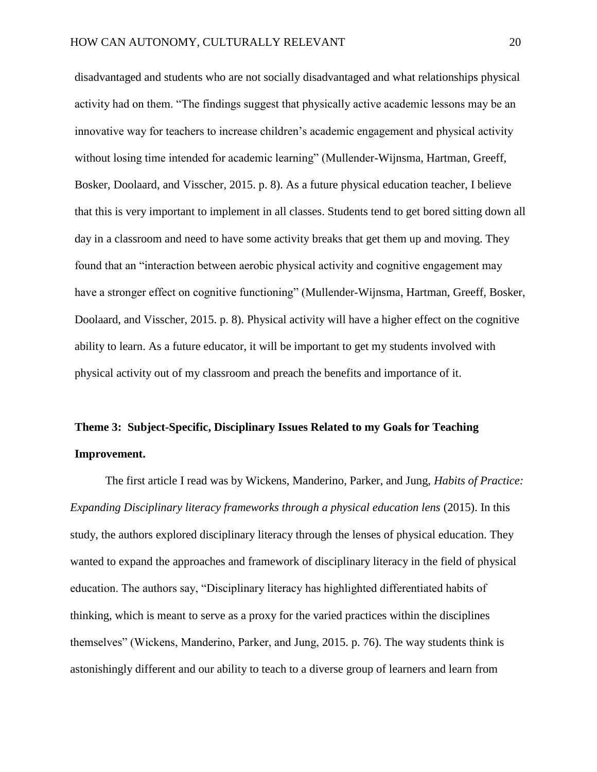disadvantaged and students who are not socially disadvantaged and what relationships physical activity had on them. "The findings suggest that physically active academic lessons may be an innovative way for teachers to increase children's academic engagement and physical activity without losing time intended for academic learning" (Mullender-Wijnsma, Hartman, Greeff, Bosker, Doolaard, and Visscher, 2015. p. 8). As a future physical education teacher, I believe that this is very important to implement in all classes. Students tend to get bored sitting down all day in a classroom and need to have some activity breaks that get them up and moving. They found that an "interaction between aerobic physical activity and cognitive engagement may have a stronger effect on cognitive functioning" (Mullender-Wijnsma, Hartman, Greeff, Bosker, Doolaard, and Visscher, 2015. p. 8). Physical activity will have a higher effect on the cognitive ability to learn. As a future educator, it will be important to get my students involved with physical activity out of my classroom and preach the benefits and importance of it.

# **Theme 3: Subject-Specific, Disciplinary Issues Related to my Goals for Teaching Improvement.**

The first article I read was by Wickens, Manderino, Parker, and Jung, *Habits of Practice: Expanding Disciplinary literacy frameworks through a physical education lens (2015).* In this study, the authors explored disciplinary literacy through the lenses of physical education. They wanted to expand the approaches and framework of disciplinary literacy in the field of physical education. The authors say, "Disciplinary literacy has highlighted differentiated habits of thinking, which is meant to serve as a proxy for the varied practices within the disciplines themselves" (Wickens, Manderino, Parker, and Jung, 2015. p. 76). The way students think is astonishingly different and our ability to teach to a diverse group of learners and learn from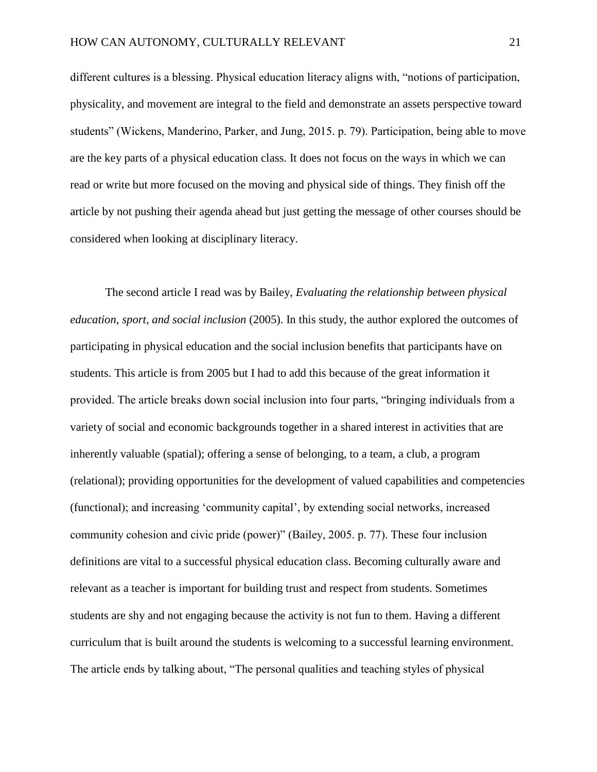different cultures is a blessing. Physical education literacy aligns with, "notions of participation, physicality, and movement are integral to the field and demonstrate an assets perspective toward students" (Wickens, Manderino, Parker, and Jung, 2015. p. 79). Participation, being able to move are the key parts of a physical education class. It does not focus on the ways in which we can read or write but more focused on the moving and physical side of things. They finish off the article by not pushing their agenda ahead but just getting the message of other courses should be considered when looking at disciplinary literacy.

The second article I read was by Bailey, *Evaluating the relationship between physical education, sport, and social inclusion* (2005). In this study, the author explored the outcomes of participating in physical education and the social inclusion benefits that participants have on students. This article is from 2005 but I had to add this because of the great information it provided. The article breaks down social inclusion into four parts, "bringing individuals from a variety of social and economic backgrounds together in a shared interest in activities that are inherently valuable (spatial); offering a sense of belonging, to a team, a club, a program (relational); providing opportunities for the development of valued capabilities and competencies (functional); and increasing 'community capital', by extending social networks, increased community cohesion and civic pride (power)" (Bailey, 2005. p. 77). These four inclusion definitions are vital to a successful physical education class. Becoming culturally aware and relevant as a teacher is important for building trust and respect from students. Sometimes students are shy and not engaging because the activity is not fun to them. Having a different curriculum that is built around the students is welcoming to a successful learning environment. The article ends by talking about, "The personal qualities and teaching styles of physical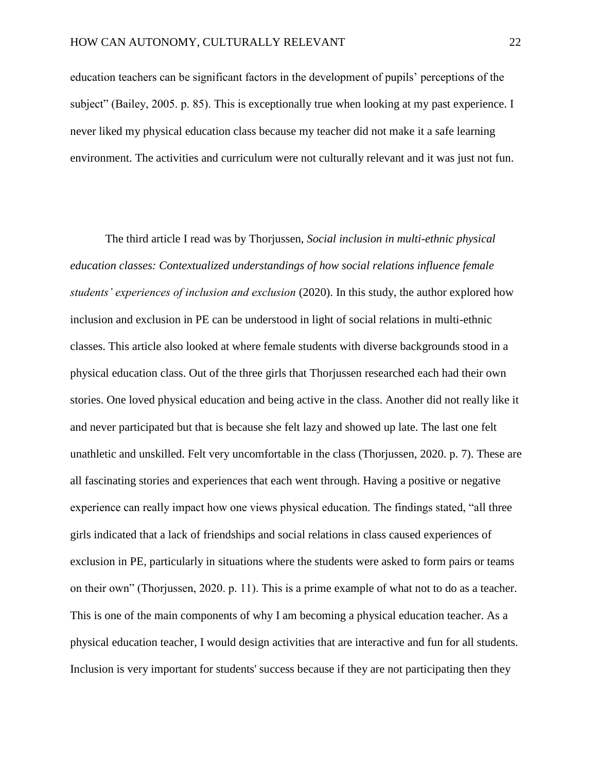education teachers can be significant factors in the development of pupils' perceptions of the subject" (Bailey, 2005. p. 85). This is exceptionally true when looking at my past experience. I never liked my physical education class because my teacher did not make it a safe learning environment. The activities and curriculum were not culturally relevant and it was just not fun.

The third article I read was by Thorjussen, *Social inclusion in multi-ethnic physical education classes: Contextualized understandings of how social relations influence female students' experiences of inclusion and exclusion* (2020). In this study, the author explored how inclusion and exclusion in PE can be understood in light of social relations in multi-ethnic classes. This article also looked at where female students with diverse backgrounds stood in a physical education class. Out of the three girls that Thorjussen researched each had their own stories. One loved physical education and being active in the class. Another did not really like it and never participated but that is because she felt lazy and showed up late. The last one felt unathletic and unskilled. Felt very uncomfortable in the class (Thorjussen, 2020. p. 7). These are all fascinating stories and experiences that each went through. Having a positive or negative experience can really impact how one views physical education. The findings stated, "all three girls indicated that a lack of friendships and social relations in class caused experiences of exclusion in PE, particularly in situations where the students were asked to form pairs or teams on their own" (Thorjussen, 2020. p. 11). This is a prime example of what not to do as a teacher. This is one of the main components of why I am becoming a physical education teacher. As a physical education teacher, I would design activities that are interactive and fun for all students. Inclusion is very important for students' success because if they are not participating then they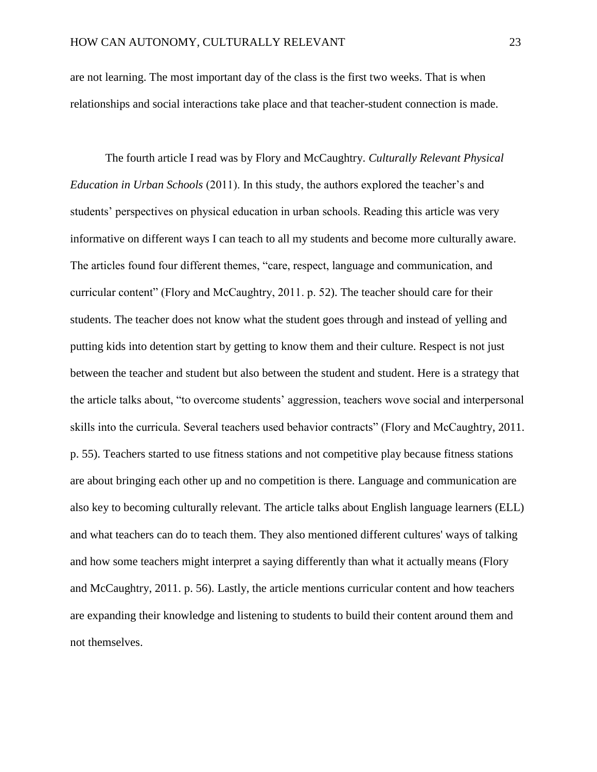are not learning. The most important day of the class is the first two weeks. That is when relationships and social interactions take place and that teacher-student connection is made.

The fourth article I read was by Flory and McCaughtry. *Culturally Relevant Physical Education in Urban Schools* (2011). In this study, the authors explored the teacher's and students' perspectives on physical education in urban schools. Reading this article was very informative on different ways I can teach to all my students and become more culturally aware. The articles found four different themes, "care, respect, language and communication, and curricular content" (Flory and McCaughtry, 2011. p. 52). The teacher should care for their students. The teacher does not know what the student goes through and instead of yelling and putting kids into detention start by getting to know them and their culture. Respect is not just between the teacher and student but also between the student and student. Here is a strategy that the article talks about, "to overcome students' aggression, teachers wove social and interpersonal skills into the curricula. Several teachers used behavior contracts" (Flory and McCaughtry, 2011. p. 55). Teachers started to use fitness stations and not competitive play because fitness stations are about bringing each other up and no competition is there. Language and communication are also key to becoming culturally relevant. The article talks about English language learners (ELL) and what teachers can do to teach them. They also mentioned different cultures' ways of talking and how some teachers might interpret a saying differently than what it actually means (Flory and McCaughtry, 2011. p. 56). Lastly, the article mentions curricular content and how teachers are expanding their knowledge and listening to students to build their content around them and not themselves.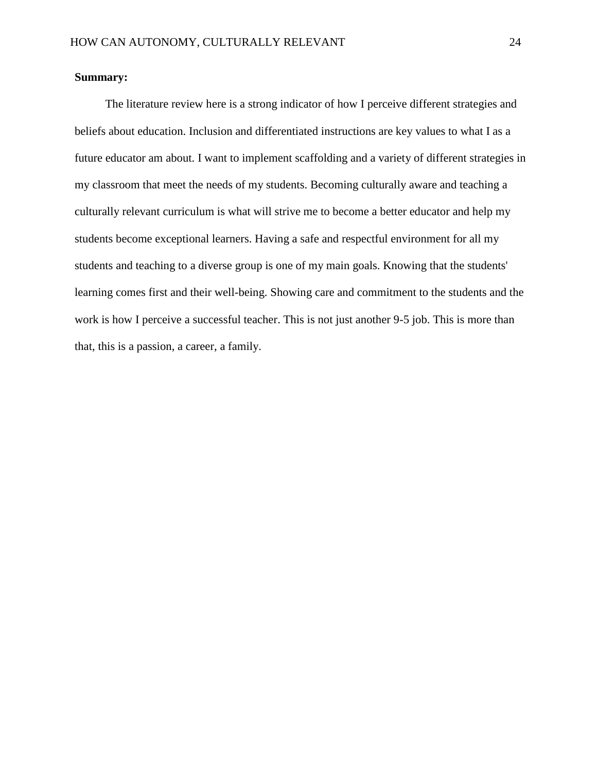# **Summary:**

The literature review here is a strong indicator of how I perceive different strategies and beliefs about education. Inclusion and differentiated instructions are key values to what I as a future educator am about. I want to implement scaffolding and a variety of different strategies in my classroom that meet the needs of my students. Becoming culturally aware and teaching a culturally relevant curriculum is what will strive me to become a better educator and help my students become exceptional learners. Having a safe and respectful environment for all my students and teaching to a diverse group is one of my main goals. Knowing that the students' learning comes first and their well-being. Showing care and commitment to the students and the work is how I perceive a successful teacher. This is not just another 9-5 job. This is more than that, this is a passion, a career, a family.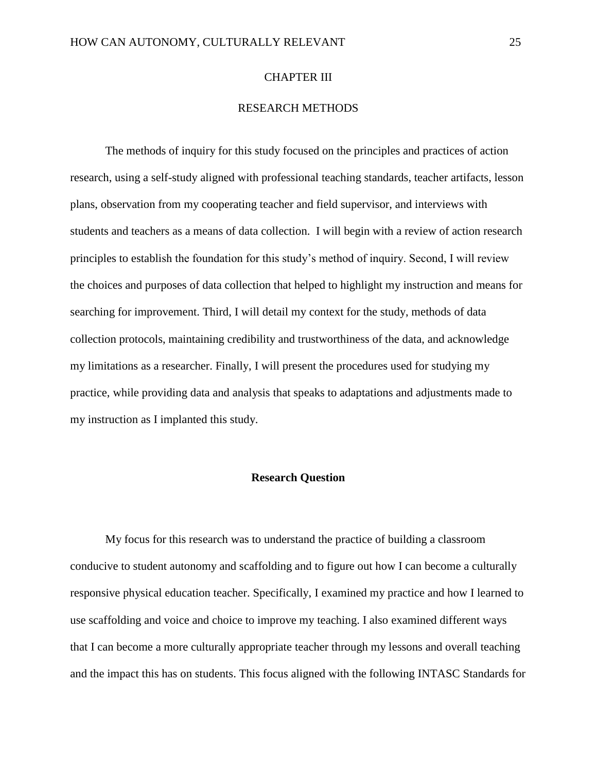### CHAPTER III

# RESEARCH METHODS

The methods of inquiry for this study focused on the principles and practices of action research, using a self-study aligned with professional teaching standards, teacher artifacts, lesson plans, observation from my cooperating teacher and field supervisor, and interviews with students and teachers as a means of data collection. I will begin with a review of action research principles to establish the foundation for this study's method of inquiry. Second, I will review the choices and purposes of data collection that helped to highlight my instruction and means for searching for improvement. Third, I will detail my context for the study, methods of data collection protocols, maintaining credibility and trustworthiness of the data, and acknowledge my limitations as a researcher. Finally, I will present the procedures used for studying my practice, while providing data and analysis that speaks to adaptations and adjustments made to my instruction as I implanted this study.

## **Research Question**

My focus for this research was to understand the practice of building a classroom conducive to student autonomy and scaffolding and to figure out how I can become a culturally responsive physical education teacher. Specifically, I examined my practice and how I learned to use scaffolding and voice and choice to improve my teaching. I also examined different ways that I can become a more culturally appropriate teacher through my lessons and overall teaching and the impact this has on students. This focus aligned with the following INTASC Standards for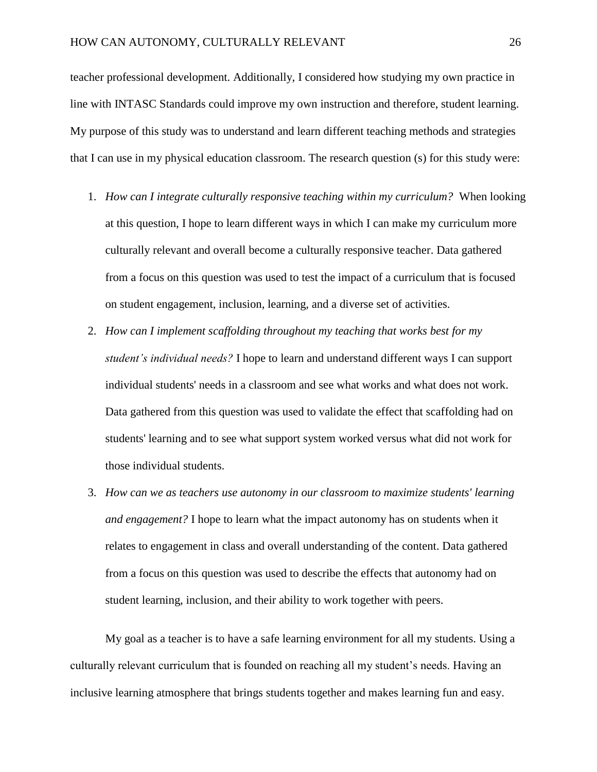teacher professional development. Additionally, I considered how studying my own practice in line with INTASC Standards could improve my own instruction and therefore, student learning. My purpose of this study was to understand and learn different teaching methods and strategies that I can use in my physical education classroom. The research question (s) for this study were:

- 1. *How can I integrate culturally responsive teaching within my curriculum?* When looking at this question, I hope to learn different ways in which I can make my curriculum more culturally relevant and overall become a culturally responsive teacher. Data gathered from a focus on this question was used to test the impact of a curriculum that is focused on student engagement, inclusion, learning, and a diverse set of activities.
- 2. *How can I implement scaffolding throughout my teaching that works best for my student's individual needs?* I hope to learn and understand different ways I can support individual students' needs in a classroom and see what works and what does not work. Data gathered from this question was used to validate the effect that scaffolding had on students' learning and to see what support system worked versus what did not work for those individual students.
- 3. *How can we as teachers use autonomy in our classroom to maximize students' learning and engagement?* I hope to learn what the impact autonomy has on students when it relates to engagement in class and overall understanding of the content. Data gathered from a focus on this question was used to describe the effects that autonomy had on student learning, inclusion, and their ability to work together with peers.

My goal as a teacher is to have a safe learning environment for all my students. Using a culturally relevant curriculum that is founded on reaching all my student's needs. Having an inclusive learning atmosphere that brings students together and makes learning fun and easy.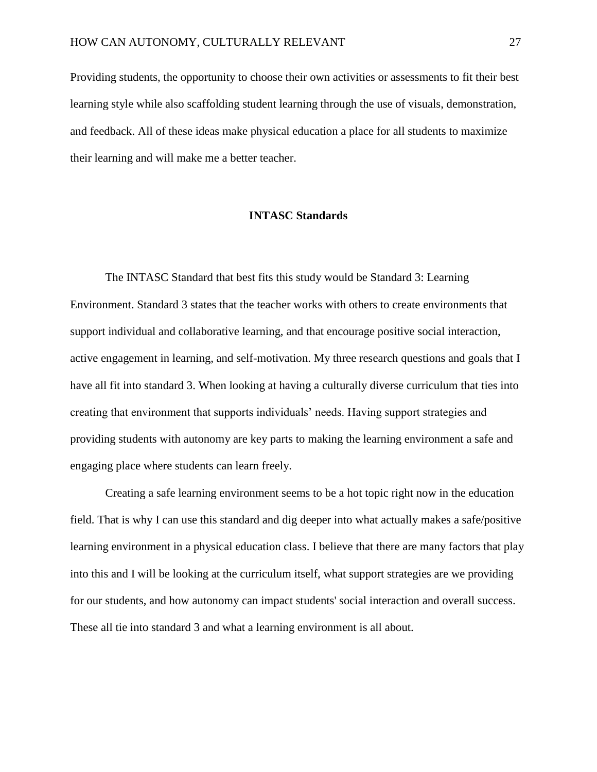Providing students, the opportunity to choose their own activities or assessments to fit their best learning style while also scaffolding student learning through the use of visuals, demonstration, and feedback. All of these ideas make physical education a place for all students to maximize their learning and will make me a better teacher.

## **INTASC Standards**

The INTASC Standard that best fits this study would be Standard 3: Learning Environment. Standard 3 states that the teacher works with others to create environments that support individual and collaborative learning, and that encourage positive social interaction, active engagement in learning, and self-motivation. My three research questions and goals that I have all fit into standard 3. When looking at having a culturally diverse curriculum that ties into creating that environment that supports individuals' needs. Having support strategies and providing students with autonomy are key parts to making the learning environment a safe and engaging place where students can learn freely.

Creating a safe learning environment seems to be a hot topic right now in the education field. That is why I can use this standard and dig deeper into what actually makes a safe/positive learning environment in a physical education class. I believe that there are many factors that play into this and I will be looking at the curriculum itself, what support strategies are we providing for our students, and how autonomy can impact students' social interaction and overall success. These all tie into standard 3 and what a learning environment is all about.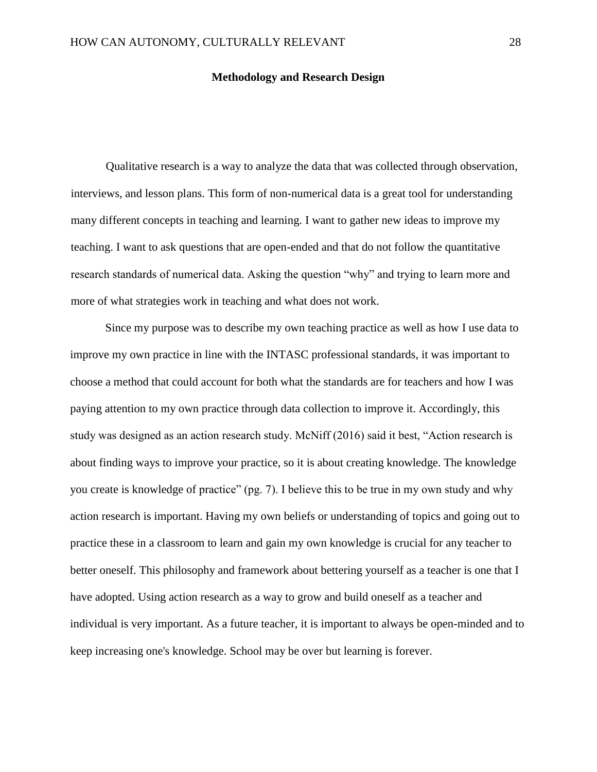#### **Methodology and Research Design**

Qualitative research is a way to analyze the data that was collected through observation, interviews, and lesson plans. This form of non-numerical data is a great tool for understanding many different concepts in teaching and learning. I want to gather new ideas to improve my teaching. I want to ask questions that are open-ended and that do not follow the quantitative research standards of numerical data. Asking the question "why" and trying to learn more and more of what strategies work in teaching and what does not work.

Since my purpose was to describe my own teaching practice as well as how I use data to improve my own practice in line with the INTASC professional standards, it was important to choose a method that could account for both what the standards are for teachers and how I was paying attention to my own practice through data collection to improve it. Accordingly, this study was designed as an action research study. McNiff (2016) said it best, "Action research is about finding ways to improve your practice, so it is about creating knowledge. The knowledge you create is knowledge of practice" (pg. 7). I believe this to be true in my own study and why action research is important. Having my own beliefs or understanding of topics and going out to practice these in a classroom to learn and gain my own knowledge is crucial for any teacher to better oneself. This philosophy and framework about bettering yourself as a teacher is one that I have adopted. Using action research as a way to grow and build oneself as a teacher and individual is very important. As a future teacher, it is important to always be open-minded and to keep increasing one's knowledge. School may be over but learning is forever.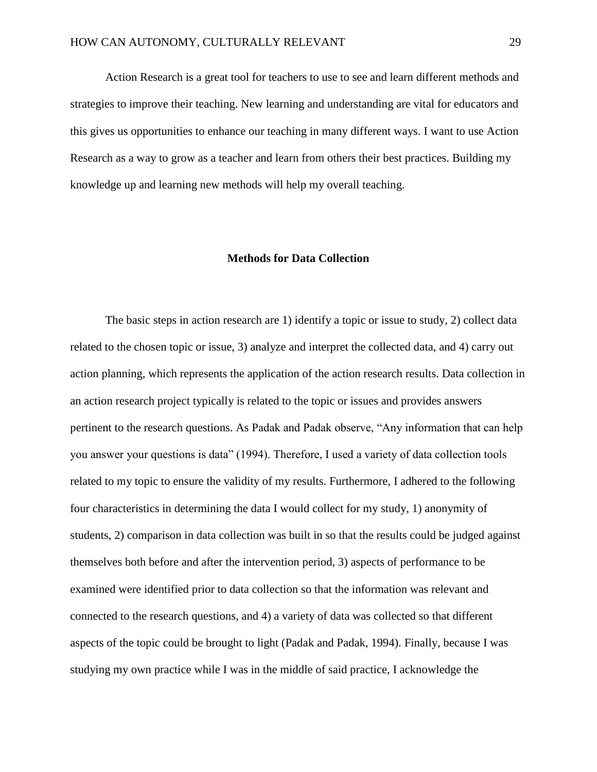Action Research is a great tool for teachers to use to see and learn different methods and strategies to improve their teaching. New learning and understanding are vital for educators and this gives us opportunities to enhance our teaching in many different ways. I want to use Action Research as a way to grow as a teacher and learn from others their best practices. Building my knowledge up and learning new methods will help my overall teaching.

#### **Methods for Data Collection**

The basic steps in action research are 1) identify a topic or issue to study, 2) collect data related to the chosen topic or issue, 3) analyze and interpret the collected data, and 4) carry out action planning, which represents the application of the action research results. Data collection in an action research project typically is related to the topic or issues and provides answers pertinent to the research questions. As Padak and Padak observe, "Any information that can help you answer your questions is data" (1994). Therefore, I used a variety of data collection tools related to my topic to ensure the validity of my results. Furthermore, I adhered to the following four characteristics in determining the data I would collect for my study, 1) anonymity of students, 2) comparison in data collection was built in so that the results could be judged against themselves both before and after the intervention period, 3) aspects of performance to be examined were identified prior to data collection so that the information was relevant and connected to the research questions, and 4) a variety of data was collected so that different aspects of the topic could be brought to light (Padak and Padak, 1994). Finally, because I was studying my own practice while I was in the middle of said practice, I acknowledge the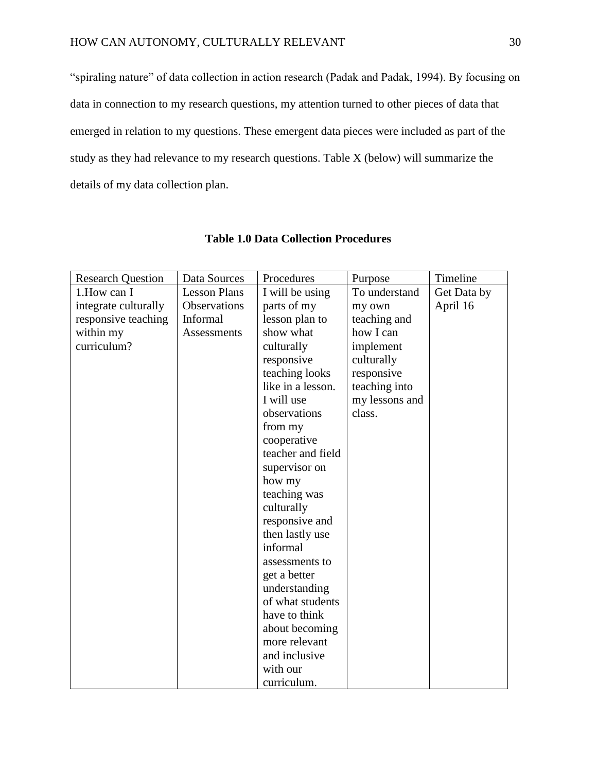"spiraling nature" of data collection in action research (Padak and Padak, 1994). By focusing on data in connection to my research questions, my attention turned to other pieces of data that emerged in relation to my questions. These emergent data pieces were included as part of the study as they had relevance to my research questions. Table X (below) will summarize the details of my data collection plan.

| <b>Research Question</b> | Data Sources        | Procedures        | Purpose        | Timeline    |
|--------------------------|---------------------|-------------------|----------------|-------------|
| 1. How can I             | <b>Lesson Plans</b> | I will be using   | To understand  | Get Data by |
| integrate culturally     | Observations        | parts of my       | my own         | April 16    |
| responsive teaching      | Informal            | lesson plan to    | teaching and   |             |
| within my                | Assessments         | show what         | how I can      |             |
| curriculum?              |                     | culturally        | implement      |             |
|                          |                     | responsive        | culturally     |             |
|                          |                     | teaching looks    | responsive     |             |
|                          |                     | like in a lesson. | teaching into  |             |
|                          |                     | I will use        | my lessons and |             |
|                          |                     | observations      | class.         |             |
|                          |                     | from my           |                |             |
|                          |                     | cooperative       |                |             |
|                          |                     | teacher and field |                |             |
|                          |                     | supervisor on     |                |             |
|                          |                     | how my            |                |             |
|                          |                     | teaching was      |                |             |
|                          |                     | culturally        |                |             |
|                          |                     | responsive and    |                |             |
|                          |                     | then lastly use   |                |             |
|                          |                     | informal          |                |             |
|                          |                     | assessments to    |                |             |
|                          |                     | get a better      |                |             |
|                          |                     | understanding     |                |             |
|                          |                     | of what students  |                |             |
|                          |                     | have to think     |                |             |
|                          |                     | about becoming    |                |             |
|                          |                     | more relevant     |                |             |
|                          |                     | and inclusive     |                |             |
|                          |                     | with our          |                |             |
|                          |                     | curriculum.       |                |             |

# **Table 1.0 Data Collection Procedures**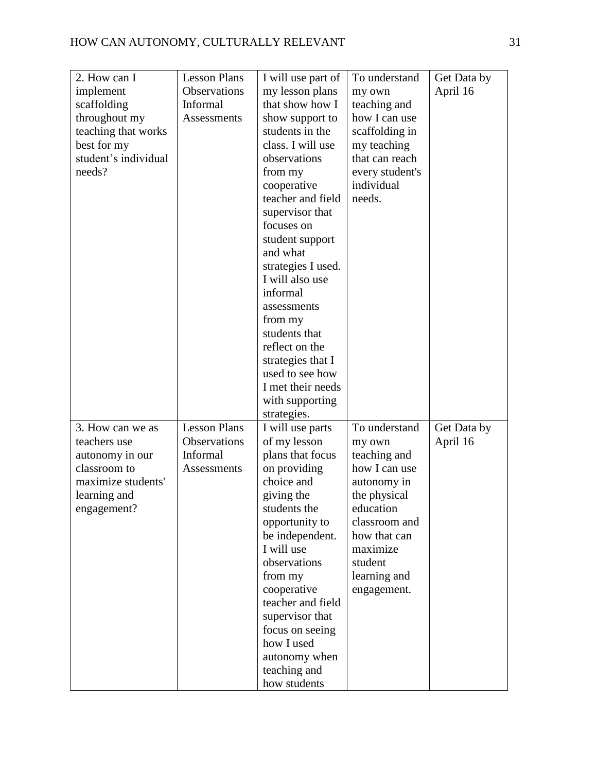| 2. How can I         | <b>Lesson Plans</b> | I will use part of | To understand   | Get Data by |
|----------------------|---------------------|--------------------|-----------------|-------------|
| implement            | Observations        | my lesson plans    | my own          | April 16    |
| scaffolding          | Informal            | that show how I    | teaching and    |             |
| throughout my        | Assessments         | show support to    | how I can use   |             |
| teaching that works  |                     | students in the    | scaffolding in  |             |
| best for my          |                     | class. I will use  | my teaching     |             |
| student's individual |                     | observations       | that can reach  |             |
| needs?               |                     |                    |                 |             |
|                      |                     | from my            | every student's |             |
|                      |                     | cooperative        | individual      |             |
|                      |                     | teacher and field  | needs.          |             |
|                      |                     | supervisor that    |                 |             |
|                      |                     | focuses on         |                 |             |
|                      |                     | student support    |                 |             |
|                      |                     | and what           |                 |             |
|                      |                     | strategies I used. |                 |             |
|                      |                     | I will also use    |                 |             |
|                      |                     | informal           |                 |             |
|                      |                     | assessments        |                 |             |
|                      |                     | from my            |                 |             |
|                      |                     | students that      |                 |             |
|                      |                     | reflect on the     |                 |             |
|                      |                     | strategies that I  |                 |             |
|                      |                     | used to see how    |                 |             |
|                      |                     | I met their needs  |                 |             |
|                      |                     | with supporting    |                 |             |
|                      |                     | strategies.        |                 |             |
| 3. How can we as     | <b>Lesson Plans</b> | I will use parts   | To understand   | Get Data by |
| teachers use         | Observations        | of my lesson       | my own          | April 16    |
| autonomy in our      | Informal            | plans that focus   | teaching and    |             |
| classroom to         | Assessments         | on providing       | how I can use   |             |
| maximize students'   |                     | choice and         |                 |             |
|                      |                     |                    | autonomy in     |             |
| learning and         |                     | giving the         | the physical    |             |
| engagement?          |                     | students the       | education       |             |
|                      |                     | opportunity to     | classroom and   |             |
|                      |                     | be independent.    | how that can    |             |
|                      |                     | I will use         | maximize        |             |
|                      |                     | observations       | student         |             |
|                      |                     | from my            | learning and    |             |
|                      |                     | cooperative        | engagement.     |             |
|                      |                     | teacher and field  |                 |             |
|                      |                     | supervisor that    |                 |             |
|                      |                     | focus on seeing    |                 |             |
|                      |                     | how I used         |                 |             |
|                      |                     | autonomy when      |                 |             |
|                      |                     | teaching and       |                 |             |
|                      |                     | how students       |                 |             |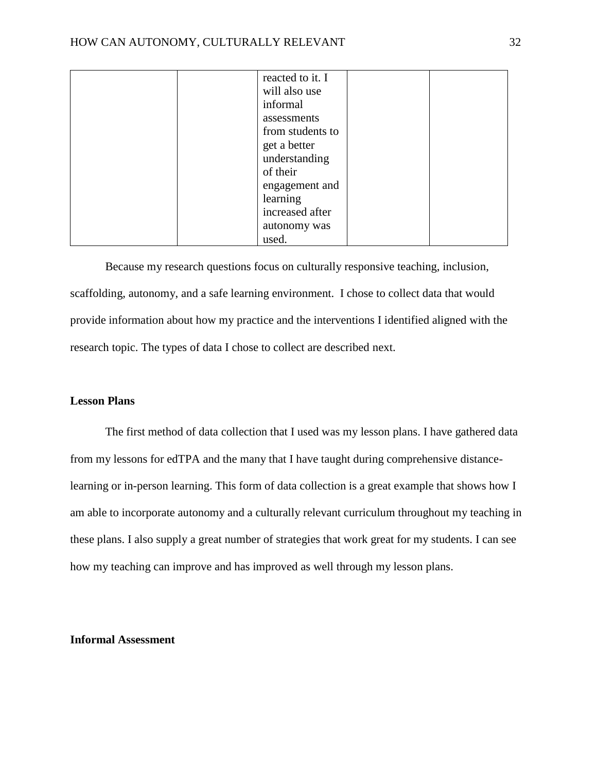| reacted to it. I |  |
|------------------|--|
| will also use    |  |
| informal         |  |
| assessments      |  |
| from students to |  |
| get a better     |  |
| understanding    |  |
| of their         |  |
| engagement and   |  |
| learning         |  |
| increased after  |  |
| autonomy was     |  |
| used.            |  |

Because my research questions focus on culturally responsive teaching, inclusion, scaffolding, autonomy, and a safe learning environment. I chose to collect data that would provide information about how my practice and the interventions I identified aligned with the research topic. The types of data I chose to collect are described next.

#### **Lesson Plans**

The first method of data collection that I used was my lesson plans. I have gathered data from my lessons for edTPA and the many that I have taught during comprehensive distancelearning or in-person learning. This form of data collection is a great example that shows how I am able to incorporate autonomy and a culturally relevant curriculum throughout my teaching in these plans. I also supply a great number of strategies that work great for my students. I can see how my teaching can improve and has improved as well through my lesson plans.

# **Informal Assessment**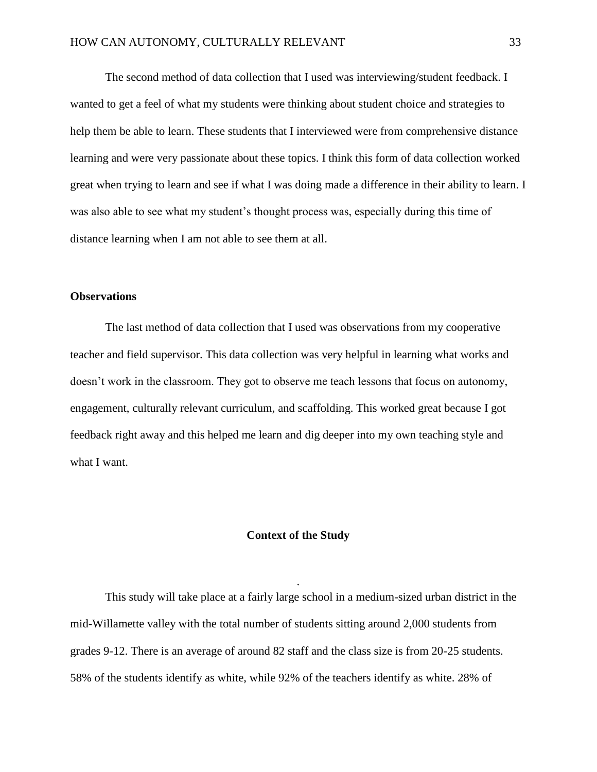The second method of data collection that I used was interviewing/student feedback. I wanted to get a feel of what my students were thinking about student choice and strategies to help them be able to learn. These students that I interviewed were from comprehensive distance learning and were very passionate about these topics. I think this form of data collection worked great when trying to learn and see if what I was doing made a difference in their ability to learn. I was also able to see what my student's thought process was, especially during this time of distance learning when I am not able to see them at all.

#### **Observations**

The last method of data collection that I used was observations from my cooperative teacher and field supervisor. This data collection was very helpful in learning what works and doesn't work in the classroom. They got to observe me teach lessons that focus on autonomy, engagement, culturally relevant curriculum, and scaffolding. This worked great because I got feedback right away and this helped me learn and dig deeper into my own teaching style and what I want.

#### **Context of the Study**

.

This study will take place at a fairly large school in a medium-sized urban district in the mid-Willamette valley with the total number of students sitting around 2,000 students from grades 9-12. There is an average of around 82 staff and the class size is from 20-25 students. 58% of the students identify as white, while 92% of the teachers identify as white. 28% of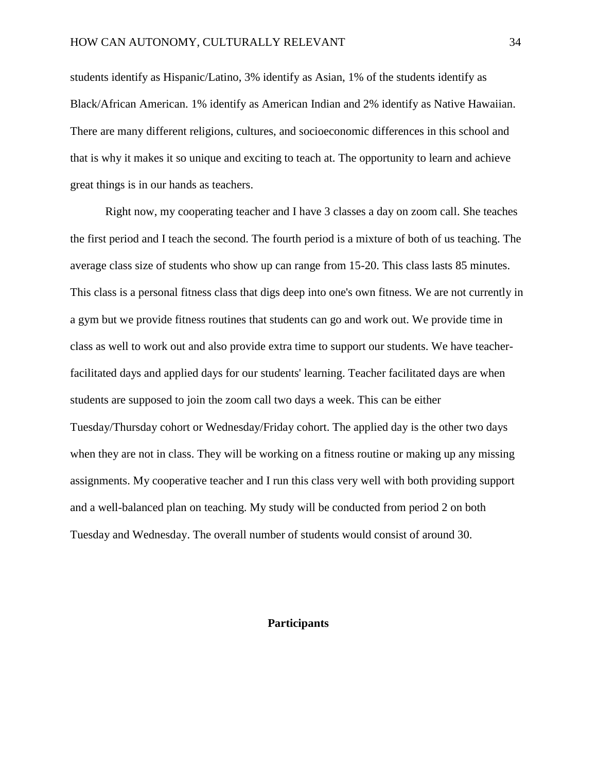students identify as Hispanic/Latino, 3% identify as Asian, 1% of the students identify as Black/African American. 1% identify as American Indian and 2% identify as Native Hawaiian. There are many different religions, cultures, and socioeconomic differences in this school and that is why it makes it so unique and exciting to teach at. The opportunity to learn and achieve great things is in our hands as teachers.

Right now, my cooperating teacher and I have 3 classes a day on zoom call. She teaches the first period and I teach the second. The fourth period is a mixture of both of us teaching. The average class size of students who show up can range from 15-20. This class lasts 85 minutes. This class is a personal fitness class that digs deep into one's own fitness. We are not currently in a gym but we provide fitness routines that students can go and work out. We provide time in class as well to work out and also provide extra time to support our students. We have teacherfacilitated days and applied days for our students' learning. Teacher facilitated days are when students are supposed to join the zoom call two days a week. This can be either Tuesday/Thursday cohort or Wednesday/Friday cohort. The applied day is the other two days when they are not in class. They will be working on a fitness routine or making up any missing assignments. My cooperative teacher and I run this class very well with both providing support and a well-balanced plan on teaching. My study will be conducted from period 2 on both Tuesday and Wednesday. The overall number of students would consist of around 30.

# **Participants**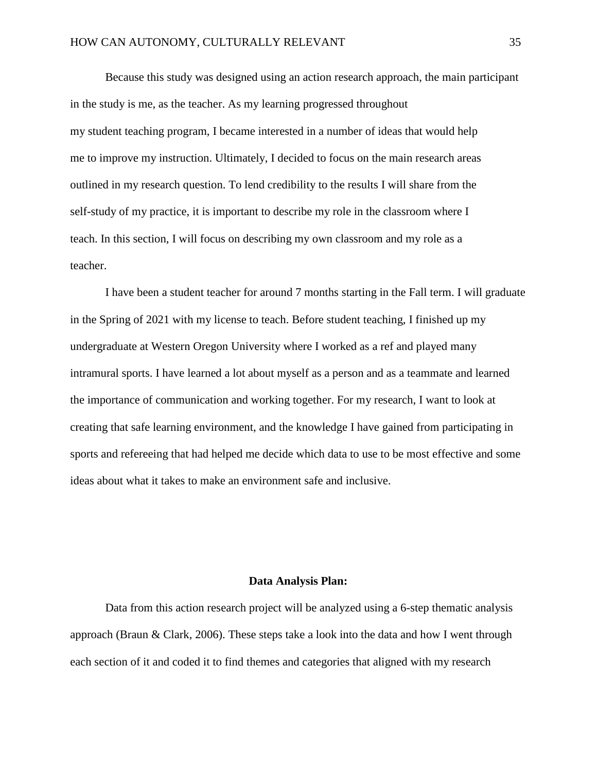Because this study was designed using an action research approach, the main participant in the study is me, as the teacher. As my learning progressed throughout my student teaching program, I became interested in a number of ideas that would help me to improve my instruction. Ultimately, I decided to focus on the main research areas outlined in my research question. To lend credibility to the results I will share from the self-study of my practice, it is important to describe my role in the classroom where I teach. In this section, I will focus on describing my own classroom and my role as a teacher.

I have been a student teacher for around 7 months starting in the Fall term. I will graduate in the Spring of 2021 with my license to teach. Before student teaching, I finished up my undergraduate at Western Oregon University where I worked as a ref and played many intramural sports. I have learned a lot about myself as a person and as a teammate and learned the importance of communication and working together. For my research, I want to look at creating that safe learning environment, and the knowledge I have gained from participating in sports and refereeing that had helped me decide which data to use to be most effective and some ideas about what it takes to make an environment safe and inclusive.

# **Data Analysis Plan:**

Data from this action research project will be analyzed using a 6-step thematic analysis approach (Braun & Clark, 2006). These steps take a look into the data and how I went through each section of it and coded it to find themes and categories that aligned with my research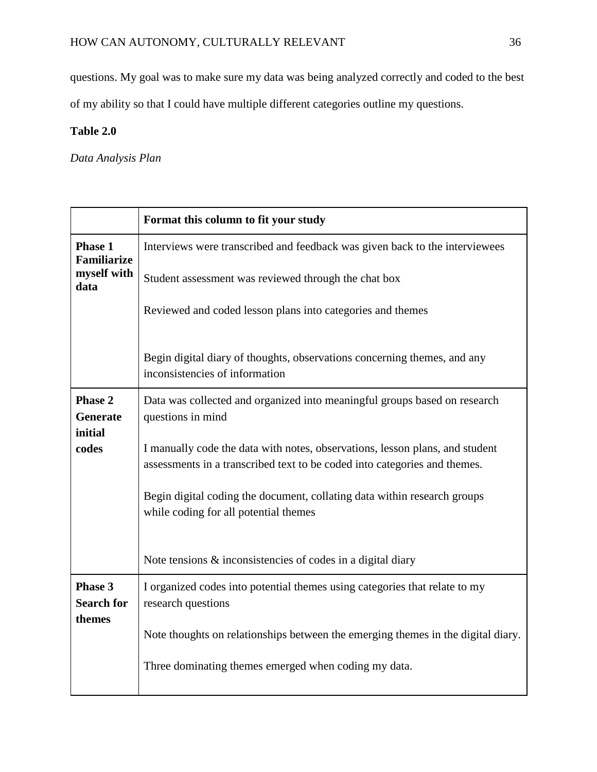questions. My goal was to make sure my data was being analyzed correctly and coded to the best

of my ability so that I could have multiple different categories outline my questions.

# **Table 2.0**

*Data Analysis Plan*

|                                      | Format this column to fit your study                                                                                                                      |
|--------------------------------------|-----------------------------------------------------------------------------------------------------------------------------------------------------------|
| <b>Phase 1</b><br><b>Familiarize</b> | Interviews were transcribed and feedback was given back to the interviewees                                                                               |
| myself with<br>data                  | Student assessment was reviewed through the chat box                                                                                                      |
|                                      | Reviewed and coded lesson plans into categories and themes                                                                                                |
|                                      | Begin digital diary of thoughts, observations concerning themes, and any<br>inconsistencies of information                                                |
| <b>Phase 2</b><br><b>Generate</b>    | Data was collected and organized into meaningful groups based on research                                                                                 |
| initial                              | questions in mind                                                                                                                                         |
| codes                                | I manually code the data with notes, observations, lesson plans, and student<br>assessments in a transcribed text to be coded into categories and themes. |
|                                      | Begin digital coding the document, collating data within research groups<br>while coding for all potential themes                                         |
|                                      | Note tensions $\&$ inconsistencies of codes in a digital diary                                                                                            |
| Phase 3<br><b>Search for</b>         | I organized codes into potential themes using categories that relate to my<br>research questions                                                          |
| themes                               | Note thoughts on relationships between the emerging themes in the digital diary.                                                                          |
|                                      | Three dominating themes emerged when coding my data.                                                                                                      |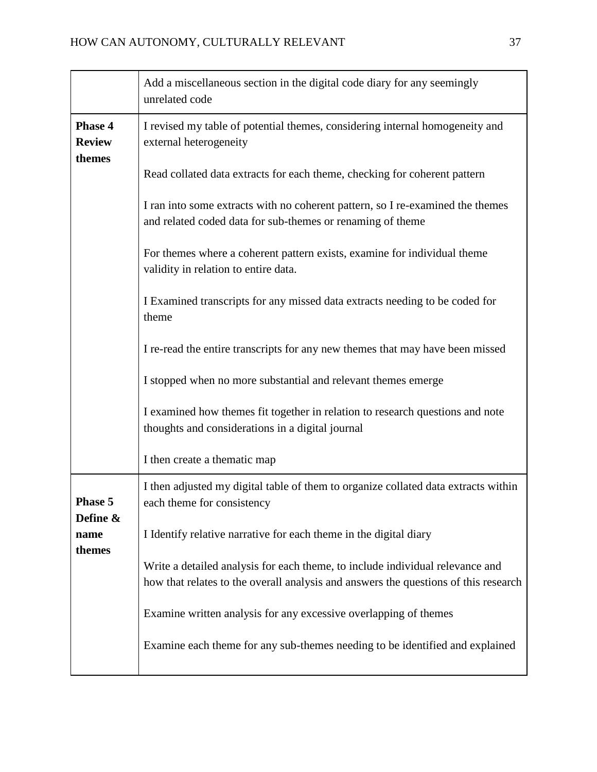|                                           | Add a miscellaneous section in the digital code diary for any seemingly<br>unrelated code                                                                            |
|-------------------------------------------|----------------------------------------------------------------------------------------------------------------------------------------------------------------------|
| <b>Phase 4</b><br><b>Review</b><br>themes | I revised my table of potential themes, considering internal homogeneity and<br>external heterogeneity                                                               |
|                                           | Read collated data extracts for each theme, checking for coherent pattern                                                                                            |
|                                           | I ran into some extracts with no coherent pattern, so I re-examined the themes<br>and related coded data for sub-themes or renaming of theme                         |
|                                           | For themes where a coherent pattern exists, examine for individual theme<br>validity in relation to entire data.                                                     |
|                                           | I Examined transcripts for any missed data extracts needing to be coded for<br>theme                                                                                 |
|                                           | I re-read the entire transcripts for any new themes that may have been missed                                                                                        |
|                                           | I stopped when no more substantial and relevant themes emerge                                                                                                        |
|                                           | I examined how themes fit together in relation to research questions and note<br>thoughts and considerations in a digital journal                                    |
|                                           | I then create a thematic map                                                                                                                                         |
| <b>Phase 5</b><br>Define &                | I then adjusted my digital table of them to organize collated data extracts within<br>each theme for consistency                                                     |
| name<br>themes                            | I Identify relative narrative for each theme in the digital diary                                                                                                    |
|                                           | Write a detailed analysis for each theme, to include individual relevance and<br>how that relates to the overall analysis and answers the questions of this research |
|                                           | Examine written analysis for any excessive overlapping of themes                                                                                                     |
|                                           | Examine each theme for any sub-themes needing to be identified and explained                                                                                         |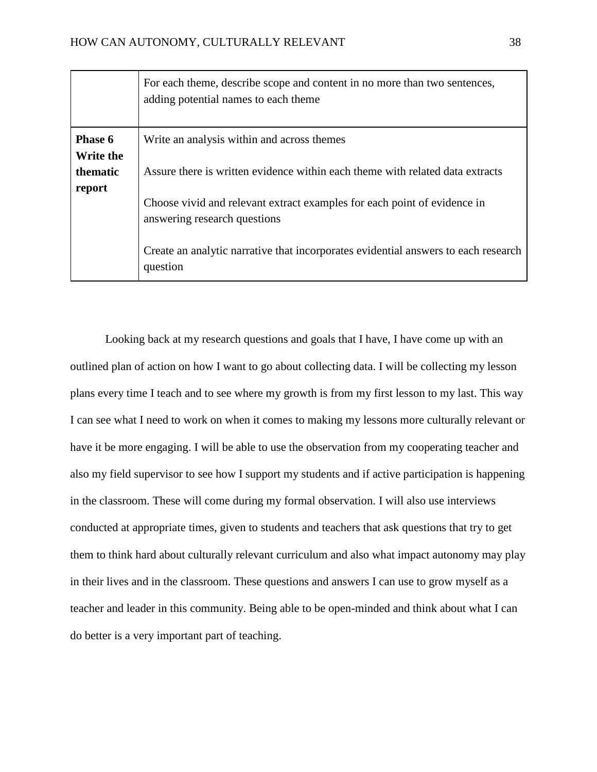|                             | For each theme, describe scope and content in no more than two sentences,<br>adding potential names to each theme |
|-----------------------------|-------------------------------------------------------------------------------------------------------------------|
| Phase 6<br><b>Write the</b> | Write an analysis within and across themes                                                                        |
| thematic<br>report          | Assure there is written evidence within each theme with related data extracts                                     |
|                             | Choose vivid and relevant extract examples for each point of evidence in<br>answering research questions          |
|                             | Create an analytic narrative that incorporates evidential answers to each research<br>question                    |

Looking back at my research questions and goals that I have, I have come up with an outlined plan of action on how I want to go about collecting data. I will be collecting my lesson plans every time I teach and to see where my growth is from my first lesson to my last. This way I can see what I need to work on when it comes to making my lessons more culturally relevant or have it be more engaging. I will be able to use the observation from my cooperating teacher and also my field supervisor to see how I support my students and if active participation is happening in the classroom. These will come during my formal observation. I will also use interviews conducted at appropriate times, given to students and teachers that ask questions that try to get them to think hard about culturally relevant curriculum and also what impact autonomy may play in their lives and in the classroom. These questions and answers I can use to grow myself as a teacher and leader in this community. Being able to be open-minded and think about what I can do better is a very important part of teaching.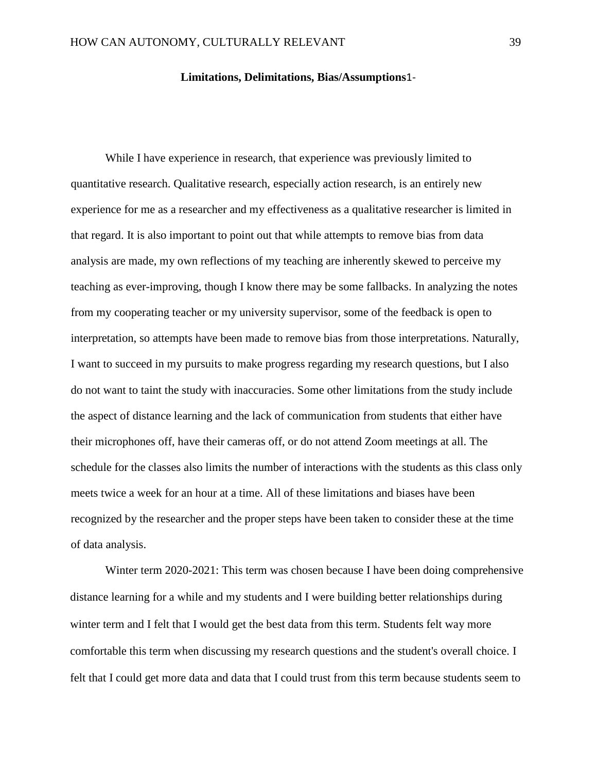### **Limitations, Delimitations, Bias/Assumptions**1-

While I have experience in research, that experience was previously limited to quantitative research. Qualitative research, especially action research, is an entirely new experience for me as a researcher and my effectiveness as a qualitative researcher is limited in that regard. It is also important to point out that while attempts to remove bias from data analysis are made, my own reflections of my teaching are inherently skewed to perceive my teaching as ever-improving, though I know there may be some fallbacks. In analyzing the notes from my cooperating teacher or my university supervisor, some of the feedback is open to interpretation, so attempts have been made to remove bias from those interpretations. Naturally, I want to succeed in my pursuits to make progress regarding my research questions, but I also do not want to taint the study with inaccuracies. Some other limitations from the study include the aspect of distance learning and the lack of communication from students that either have their microphones off, have their cameras off, or do not attend Zoom meetings at all. The schedule for the classes also limits the number of interactions with the students as this class only meets twice a week for an hour at a time. All of these limitations and biases have been recognized by the researcher and the proper steps have been taken to consider these at the time of data analysis.

Winter term 2020-2021: This term was chosen because I have been doing comprehensive distance learning for a while and my students and I were building better relationships during winter term and I felt that I would get the best data from this term. Students felt way more comfortable this term when discussing my research questions and the student's overall choice. I felt that I could get more data and data that I could trust from this term because students seem to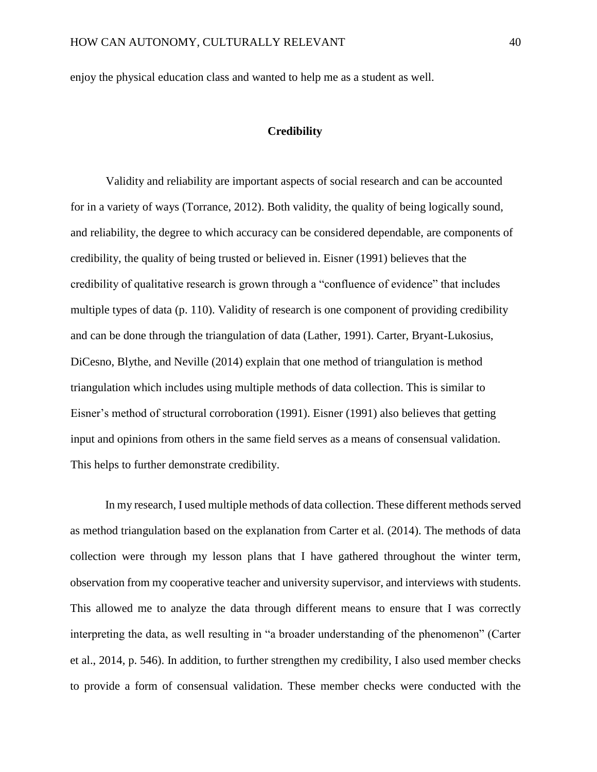enjoy the physical education class and wanted to help me as a student as well.

#### **Credibility**

Validity and reliability are important aspects of social research and can be accounted for in a variety of ways (Torrance, 2012). Both validity, the quality of being logically sound, and reliability, the degree to which accuracy can be considered dependable, are components of credibility, the quality of being trusted or believed in. Eisner (1991) believes that the credibility of qualitative research is grown through a "confluence of evidence" that includes multiple types of data (p. 110). Validity of research is one component of providing credibility and can be done through the triangulation of data (Lather, 1991). Carter, Bryant-Lukosius, DiCesno, Blythe, and Neville (2014) explain that one method of triangulation is method triangulation which includes using multiple methods of data collection. This is similar to Eisner's method of structural corroboration (1991). Eisner (1991) also believes that getting input and opinions from others in the same field serves as a means of consensual validation. This helps to further demonstrate credibility.

In my research, I used multiple methods of data collection. These different methods served as method triangulation based on the explanation from Carter et al. (2014). The methods of data collection were through my lesson plans that I have gathered throughout the winter term, observation from my cooperative teacher and university supervisor, and interviews with students. This allowed me to analyze the data through different means to ensure that I was correctly interpreting the data, as well resulting in "a broader understanding of the phenomenon" (Carter et al., 2014, p. 546). In addition, to further strengthen my credibility, I also used member checks to provide a form of consensual validation. These member checks were conducted with the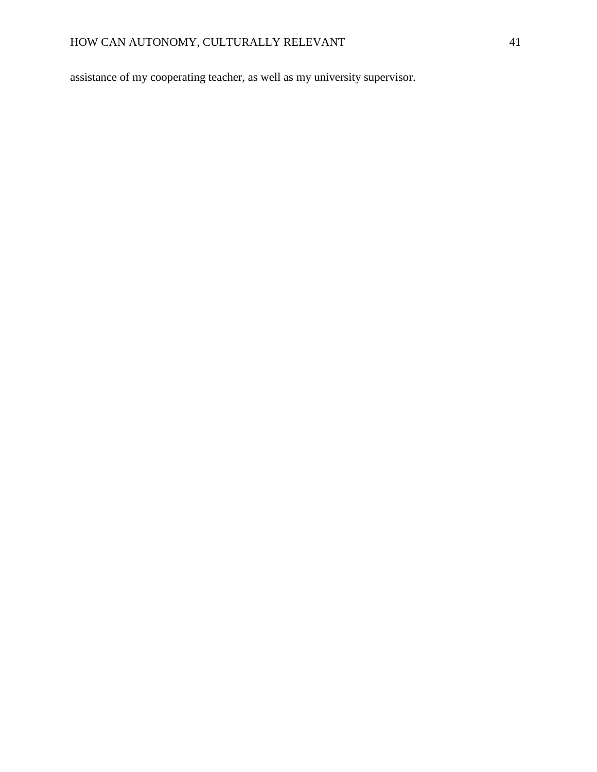assistance of my cooperating teacher, as well as my university supervisor.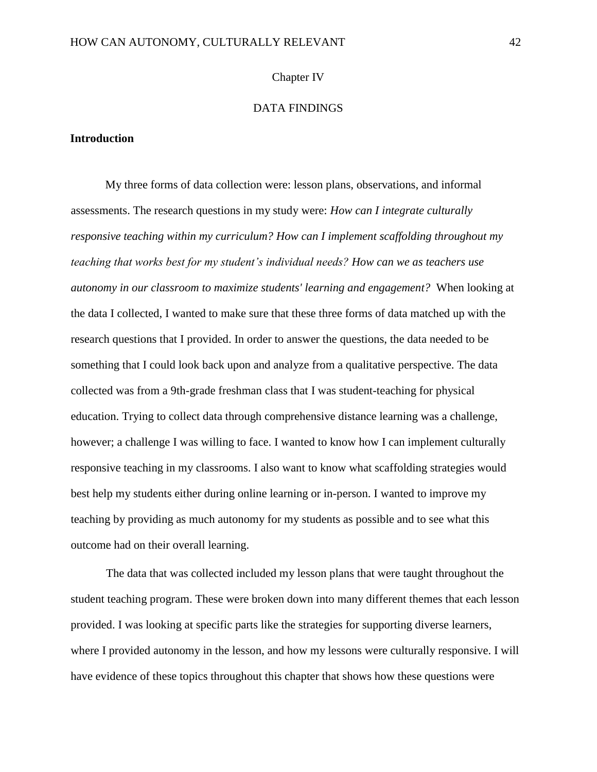#### Chapter IV

# DATA FINDINGS

# **Introduction**

My three forms of data collection were: lesson plans, observations, and informal assessments. The research questions in my study were: *How can I integrate culturally responsive teaching within my curriculum? How can I implement scaffolding throughout my teaching that works best for my student's individual needs? How can we as teachers use autonomy in our classroom to maximize students' learning and engagement?* When looking at the data I collected, I wanted to make sure that these three forms of data matched up with the research questions that I provided. In order to answer the questions, the data needed to be something that I could look back upon and analyze from a qualitative perspective. The data collected was from a 9th-grade freshman class that I was student-teaching for physical education. Trying to collect data through comprehensive distance learning was a challenge, however; a challenge I was willing to face. I wanted to know how I can implement culturally responsive teaching in my classrooms. I also want to know what scaffolding strategies would best help my students either during online learning or in-person. I wanted to improve my teaching by providing as much autonomy for my students as possible and to see what this outcome had on their overall learning.

The data that was collected included my lesson plans that were taught throughout the student teaching program. These were broken down into many different themes that each lesson provided. I was looking at specific parts like the strategies for supporting diverse learners, where I provided autonomy in the lesson, and how my lessons were culturally responsive. I will have evidence of these topics throughout this chapter that shows how these questions were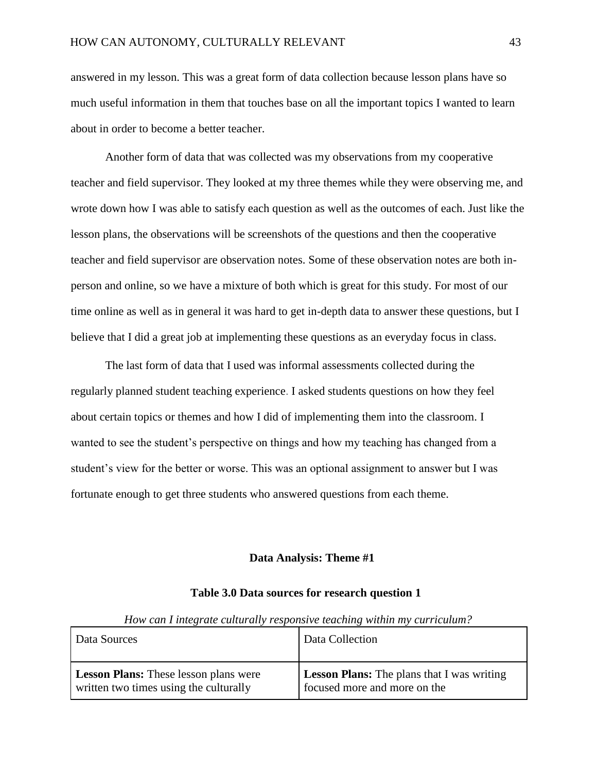answered in my lesson. This was a great form of data collection because lesson plans have so much useful information in them that touches base on all the important topics I wanted to learn about in order to become a better teacher.

Another form of data that was collected was my observations from my cooperative teacher and field supervisor. They looked at my three themes while they were observing me, and wrote down how I was able to satisfy each question as well as the outcomes of each. Just like the lesson plans, the observations will be screenshots of the questions and then the cooperative teacher and field supervisor are observation notes. Some of these observation notes are both inperson and online, so we have a mixture of both which is great for this study. For most of our time online as well as in general it was hard to get in-depth data to answer these questions, but I believe that I did a great job at implementing these questions as an everyday focus in class.

The last form of data that I used was informal assessments collected during the regularly planned student teaching experience. I asked students questions on how they feel about certain topics or themes and how I did of implementing them into the classroom. I wanted to see the student's perspective on things and how my teaching has changed from a student's view for the better or worse. This was an optional assignment to answer but I was fortunate enough to get three students who answered questions from each theme.

#### **Data Analysis: Theme #1**

| How can I integrate culturally responsive teaching within my curriculum?               |                                                                                   |  |
|----------------------------------------------------------------------------------------|-----------------------------------------------------------------------------------|--|
| Data Sources                                                                           | Data Collection                                                                   |  |
| <b>Lesson Plans:</b> These lesson plans were<br>written two times using the culturally | <b>Lesson Plans:</b> The plans that I was writing<br>focused more and more on the |  |

#### **Table 3.0 Data sources for research question 1**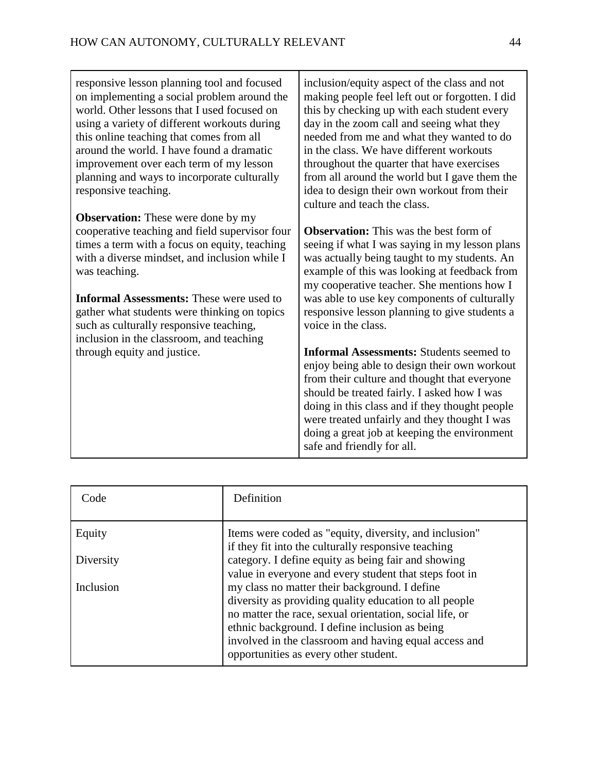| responsive lesson planning tool and focused<br>on implementing a social problem around the<br>world. Other lessons that I used focused on<br>using a variety of different workouts during<br>this online teaching that comes from all<br>around the world. I have found a dramatic<br>improvement over each term of my lesson<br>planning and ways to incorporate culturally<br>responsive teaching.     | inclusion/equity aspect of the class and not<br>making people feel left out or forgotten. I did<br>this by checking up with each student every<br>day in the zoom call and seeing what they<br>needed from me and what they wanted to do<br>in the class. We have different workouts<br>throughout the quarter that have exercises<br>from all around the world but I gave them the<br>idea to design their own workout from their<br>culture and teach the class. |
|----------------------------------------------------------------------------------------------------------------------------------------------------------------------------------------------------------------------------------------------------------------------------------------------------------------------------------------------------------------------------------------------------------|--------------------------------------------------------------------------------------------------------------------------------------------------------------------------------------------------------------------------------------------------------------------------------------------------------------------------------------------------------------------------------------------------------------------------------------------------------------------|
| <b>Observation:</b> These were done by my<br>cooperative teaching and field supervisor four<br>times a term with a focus on equity, teaching<br>with a diverse mindset, and inclusion while I<br>was teaching.<br><b>Informal Assessments:</b> These were used to<br>gather what students were thinking on topics<br>such as culturally responsive teaching,<br>inclusion in the classroom, and teaching | <b>Observation:</b> This was the best form of<br>seeing if what I was saying in my lesson plans<br>was actually being taught to my students. An<br>example of this was looking at feedback from<br>my cooperative teacher. She mentions how I<br>was able to use key components of culturally<br>responsive lesson planning to give students a<br>voice in the class.                                                                                              |
| through equity and justice.                                                                                                                                                                                                                                                                                                                                                                              | <b>Informal Assessments: Students seemed to</b><br>enjoy being able to design their own workout<br>from their culture and thought that everyone<br>should be treated fairly. I asked how I was<br>doing in this class and if they thought people<br>were treated unfairly and they thought I was<br>doing a great job at keeping the environment<br>safe and friendly for all.                                                                                     |

| Code      | Definition                                                                                                                                                                                                                                                                                                             |
|-----------|------------------------------------------------------------------------------------------------------------------------------------------------------------------------------------------------------------------------------------------------------------------------------------------------------------------------|
| Equity    | Items were coded as "equity, diversity, and inclusion"<br>if they fit into the culturally responsive teaching                                                                                                                                                                                                          |
| Diversity | category. I define equity as being fair and showing<br>value in everyone and every student that steps foot in                                                                                                                                                                                                          |
| Inclusion | my class no matter their background. I define<br>diversity as providing quality education to all people<br>no matter the race, sexual orientation, social life, or<br>ethnic background. I define inclusion as being<br>involved in the classroom and having equal access and<br>opportunities as every other student. |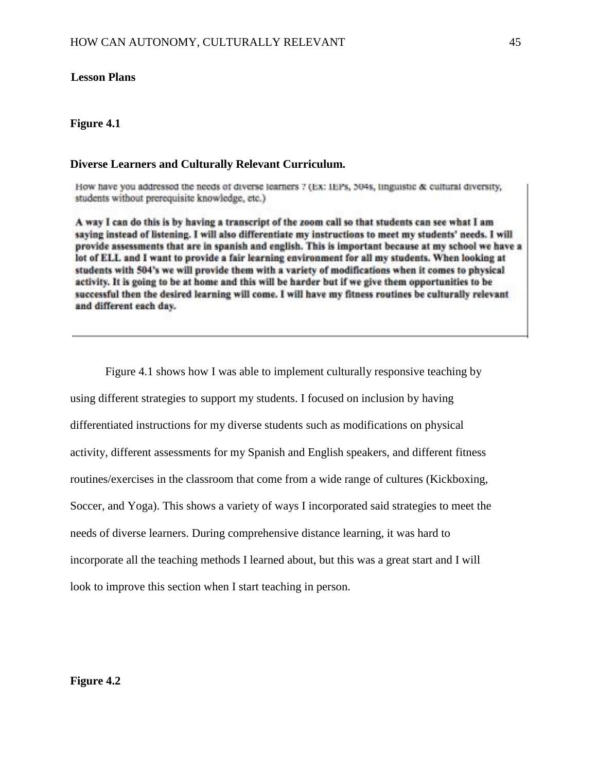# **Lesson Plans**

### **Figure 4.1**

#### **Diverse Learners and Culturally Relevant Curriculum.**

How have you addressed the needs of diverse learners 7 (Ex: IEPs, 504s, linguistic & cultural diversity, students without prerequisite knowledge, etc.)

A way I can do this is by having a transcript of the zoom call so that students can see what I am saying instead of listening. I will also differentiate my instructions to meet my students' needs. I will provide assessments that are in spanish and english. This is important because at my school we have a lot of ELL and I want to provide a fair learning environment for all my students. When looking at students with 504's we will provide them with a variety of modifications when it comes to physical activity. It is going to be at home and this will be harder but if we give them opportunities to be successful then the desired learning will come. I will have my fitness routines be culturally relevant and different each day.

Figure 4.1 shows how I was able to implement culturally responsive teaching by using different strategies to support my students. I focused on inclusion by having differentiated instructions for my diverse students such as modifications on physical activity, different assessments for my Spanish and English speakers, and different fitness routines/exercises in the classroom that come from a wide range of cultures (Kickboxing, Soccer, and Yoga). This shows a variety of ways I incorporated said strategies to meet the needs of diverse learners. During comprehensive distance learning, it was hard to incorporate all the teaching methods I learned about, but this was a great start and I will look to improve this section when I start teaching in person.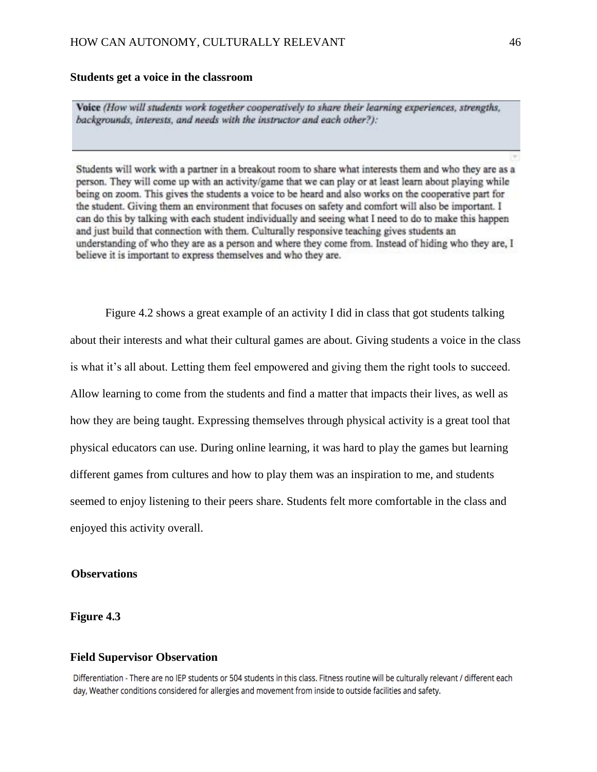#### **Students get a voice in the classroom**

Voice (How will students work together cooperatively to share their learning experiences, strengths, backgrounds, interests, and needs with the instructor and each other?):

Students will work with a partner in a breakout room to share what interests them and who they are as a person. They will come up with an activity/game that we can play or at least learn about playing while being on zoom. This gives the students a voice to be heard and also works on the cooperative part for the student. Giving them an environment that focuses on safety and comfort will also be important. I can do this by talking with each student individually and seeing what I need to do to make this happen and just build that connection with them. Culturally responsive teaching gives students an understanding of who they are as a person and where they come from. Instead of hiding who they are, I believe it is important to express themselves and who they are.

Figure 4.2 shows a great example of an activity I did in class that got students talking about their interests and what their cultural games are about. Giving students a voice in the class is what it's all about. Letting them feel empowered and giving them the right tools to succeed. Allow learning to come from the students and find a matter that impacts their lives, as well as how they are being taught. Expressing themselves through physical activity is a great tool that physical educators can use. During online learning, it was hard to play the games but learning different games from cultures and how to play them was an inspiration to me, and students seemed to enjoy listening to their peers share. Students felt more comfortable in the class and enjoyed this activity overall.

# **Observations**

# **Figure 4.3**

# **Field Supervisor Observation**

Differentiation - There are no IEP students or 504 students in this class. Fitness routine will be culturally relevant / different each day, Weather conditions considered for allergies and movement from inside to outside facilities and safety.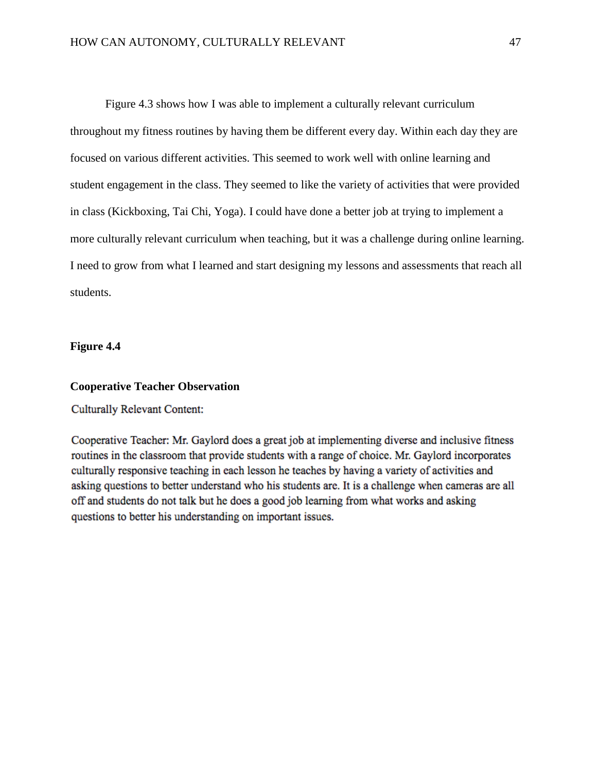Figure 4.3 shows how I was able to implement a culturally relevant curriculum throughout my fitness routines by having them be different every day. Within each day they are focused on various different activities. This seemed to work well with online learning and student engagement in the class. They seemed to like the variety of activities that were provided in class (Kickboxing, Tai Chi, Yoga). I could have done a better job at trying to implement a more culturally relevant curriculum when teaching, but it was a challenge during online learning. I need to grow from what I learned and start designing my lessons and assessments that reach all students.

**Figure 4.4**

# **Cooperative Teacher Observation**

**Culturally Relevant Content:** 

Cooperative Teacher: Mr. Gaylord does a great job at implementing diverse and inclusive fitness routines in the classroom that provide students with a range of choice. Mr. Gaylord incorporates culturally responsive teaching in each lesson he teaches by having a variety of activities and asking questions to better understand who his students are. It is a challenge when cameras are all off and students do not talk but he does a good job learning from what works and asking questions to better his understanding on important issues.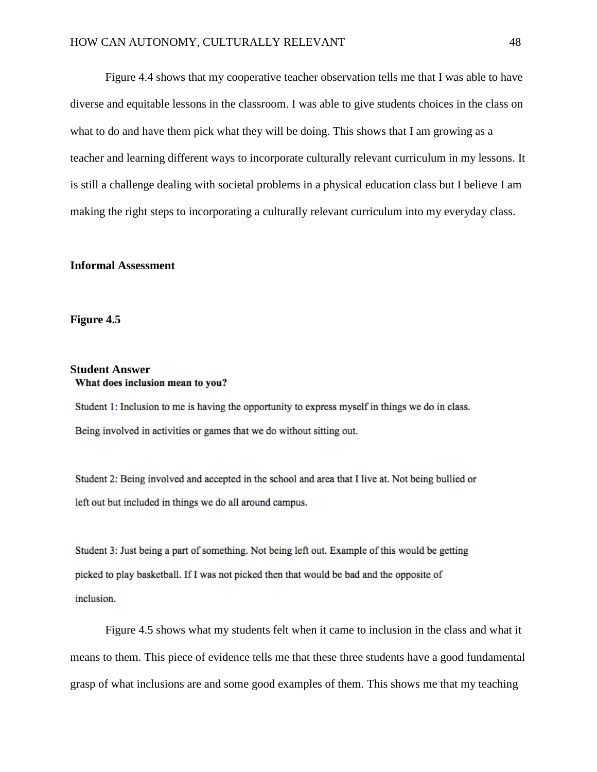Figure 4.4 shows that my cooperative teacher observation tells me that I was able to have diverse and equitable lessons in the classroom. I was able to give students choices in the class on what to do and have them pick what they will be doing. This shows that I am growing as a teacher and learning different ways to incorporate culturally relevant curriculum in my lessons. It is still a challenge dealing with societal problems in a physical education class but I believe I am making the right steps to incorporating a culturally relevant curriculum into my everyday class.

#### **Informal Assessment**

**Figure 4.5**

# **Student Answer** What does inclusion mean to you?

Student 1: Inclusion to me is having the opportunity to express myself in things we do in class. Being involved in activities or games that we do without sitting out.

Student 2: Being involved and accepted in the school and area that I live at. Not being bullied or left out but included in things we do all around campus.

Student 3: Just being a part of something. Not being left out. Example of this would be getting picked to play basketball. If I was not picked then that would be bad and the opposite of inclusion.

Figure 4.5 shows what my students felt when it came to inclusion in the class and what it means to them. This piece of evidence tells me that these three students have a good fundamental grasp of what inclusions are and some good examples of them. This shows me that my teaching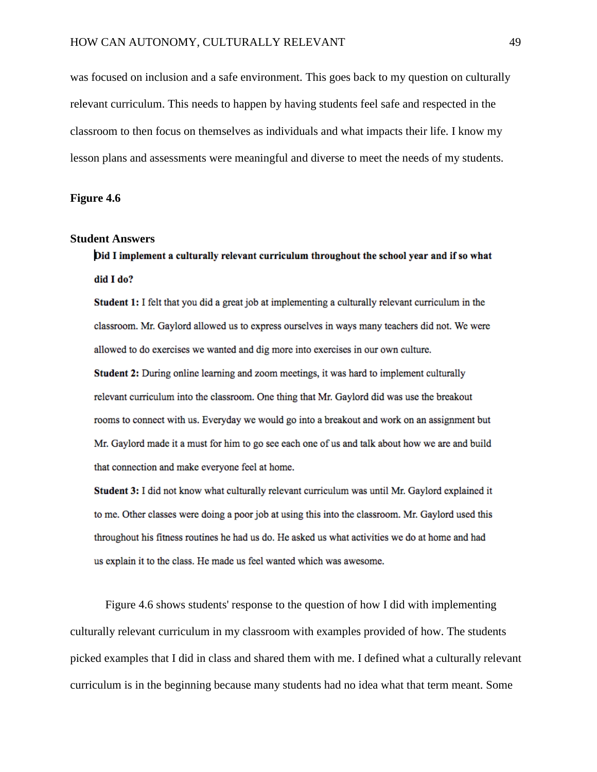was focused on inclusion and a safe environment. This goes back to my question on culturally relevant curriculum. This needs to happen by having students feel safe and respected in the classroom to then focus on themselves as individuals and what impacts their life. I know my lesson plans and assessments were meaningful and diverse to meet the needs of my students.

**Figure 4.6**

#### **Student Answers**

Did I implement a culturally relevant curriculum throughout the school year and if so what did I do?

**Student 1:** I felt that you did a great job at implementing a culturally relevant curriculum in the classroom. Mr. Gaylord allowed us to express ourselves in ways many teachers did not. We were allowed to do exercises we wanted and dig more into exercises in our own culture.

**Student 2:** During online learning and zoom meetings, it was hard to implement culturally relevant curriculum into the classroom. One thing that Mr. Gaylord did was use the breakout rooms to connect with us. Everyday we would go into a breakout and work on an assignment but Mr. Gaylord made it a must for him to go see each one of us and talk about how we are and build that connection and make everyone feel at home.

**Student 3:** I did not know what culturally relevant curriculum was until Mr. Gaylord explained it to me. Other classes were doing a poor job at using this into the classroom. Mr. Gaylord used this throughout his fitness routines he had us do. He asked us what activities we do at home and had us explain it to the class. He made us feel wanted which was awesome.

Figure 4.6 shows students' response to the question of how I did with implementing culturally relevant curriculum in my classroom with examples provided of how. The students picked examples that I did in class and shared them with me. I defined what a culturally relevant curriculum is in the beginning because many students had no idea what that term meant. Some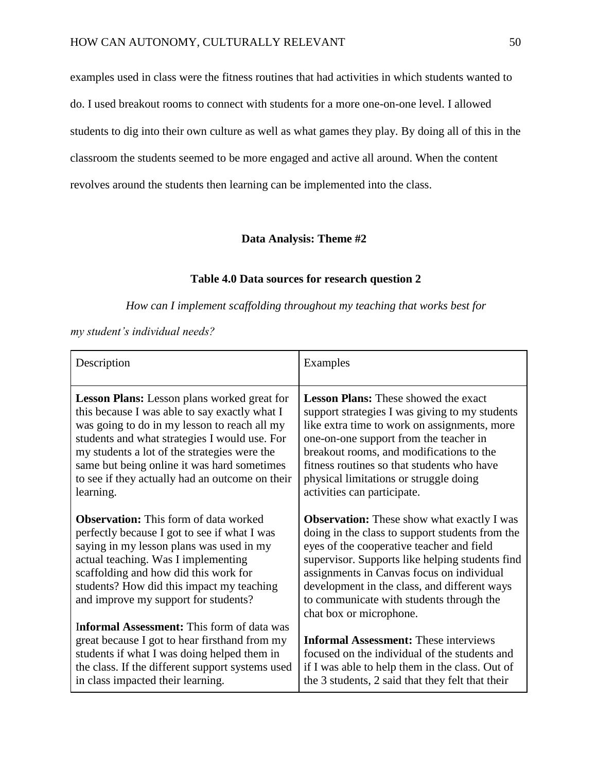examples used in class were the fitness routines that had activities in which students wanted to do. I used breakout rooms to connect with students for a more one-on-one level. I allowed students to dig into their own culture as well as what games they play. By doing all of this in the classroom the students seemed to be more engaged and active all around. When the content revolves around the students then learning can be implemented into the class.

# **Data Analysis: Theme #2**

# **Table 4.0 Data sources for research question 2**

*How can I implement scaffolding throughout my teaching that works best for* 

*my student's individual needs?*

| Description                                                                                                                                                                                                                                                                                                                                                  | Examples                                                                                                                                                                                                                                                                                                                                                                 |
|--------------------------------------------------------------------------------------------------------------------------------------------------------------------------------------------------------------------------------------------------------------------------------------------------------------------------------------------------------------|--------------------------------------------------------------------------------------------------------------------------------------------------------------------------------------------------------------------------------------------------------------------------------------------------------------------------------------------------------------------------|
| Lesson Plans: Lesson plans worked great for<br>this because I was able to say exactly what I<br>was going to do in my lesson to reach all my<br>students and what strategies I would use. For<br>my students a lot of the strategies were the<br>same but being online it was hard sometimes<br>to see if they actually had an outcome on their<br>learning. | <b>Lesson Plans:</b> These showed the exact<br>support strategies I was giving to my students<br>like extra time to work on assignments, more<br>one-on-one support from the teacher in<br>breakout rooms, and modifications to the<br>fitness routines so that students who have<br>physical limitations or struggle doing<br>activities can participate.               |
| <b>Observation:</b> This form of data worked<br>perfectly because I got to see if what I was<br>saying in my lesson plans was used in my<br>actual teaching. Was I implementing<br>scaffolding and how did this work for<br>students? How did this impact my teaching<br>and improve my support for students?                                                | <b>Observation:</b> These show what exactly I was<br>doing in the class to support students from the<br>eyes of the cooperative teacher and field<br>supervisor. Supports like helping students find<br>assignments in Canvas focus on individual<br>development in the class, and different ways<br>to communicate with students through the<br>chat box or microphone. |
| <b>Informal Assessment:</b> This form of data was<br>great because I got to hear firsthand from my<br>students if what I was doing helped them in<br>the class. If the different support systems used<br>in class impacted their learning.                                                                                                                   | <b>Informal Assessment:</b> These interviews<br>focused on the individual of the students and<br>if I was able to help them in the class. Out of<br>the 3 students, 2 said that they felt that their                                                                                                                                                                     |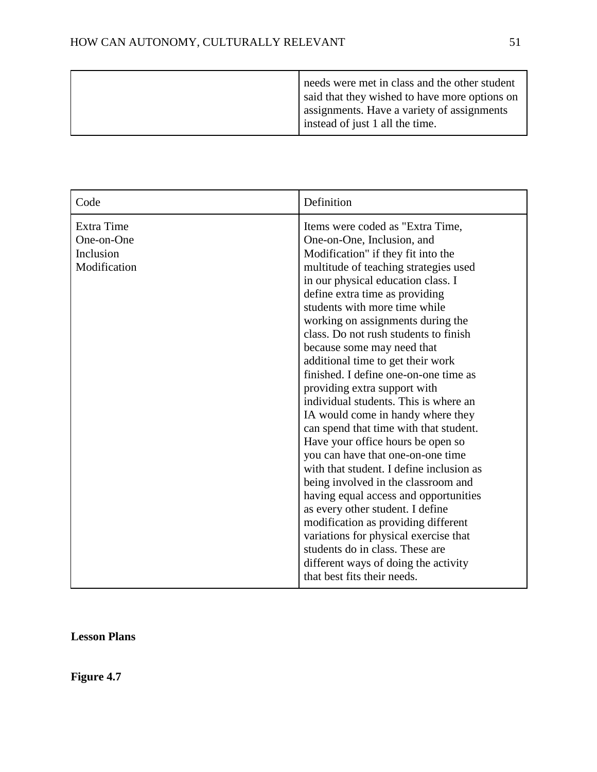| Code                                                  | Definition                                                                                                                                                                                                                                                                                                                                                                                                                                                                                                                                                                                                                                                                                                                                                                                                                                                                                                                                                                                                    |
|-------------------------------------------------------|---------------------------------------------------------------------------------------------------------------------------------------------------------------------------------------------------------------------------------------------------------------------------------------------------------------------------------------------------------------------------------------------------------------------------------------------------------------------------------------------------------------------------------------------------------------------------------------------------------------------------------------------------------------------------------------------------------------------------------------------------------------------------------------------------------------------------------------------------------------------------------------------------------------------------------------------------------------------------------------------------------------|
| Extra Time<br>One-on-One<br>Inclusion<br>Modification | Items were coded as "Extra Time,<br>One-on-One, Inclusion, and<br>Modification" if they fit into the<br>multitude of teaching strategies used<br>in our physical education class. I<br>define extra time as providing<br>students with more time while<br>working on assignments during the<br>class. Do not rush students to finish<br>because some may need that<br>additional time to get their work<br>finished. I define one-on-one time as<br>providing extra support with<br>individual students. This is where an<br>IA would come in handy where they<br>can spend that time with that student.<br>Have your office hours be open so<br>you can have that one-on-one time<br>with that student. I define inclusion as<br>being involved in the classroom and<br>having equal access and opportunities<br>as every other student. I define<br>modification as providing different<br>variations for physical exercise that<br>students do in class. These are<br>different ways of doing the activity |
|                                                       | that best fits their needs.                                                                                                                                                                                                                                                                                                                                                                                                                                                                                                                                                                                                                                                                                                                                                                                                                                                                                                                                                                                   |

**Lesson Plans** 

**Figure 4.7**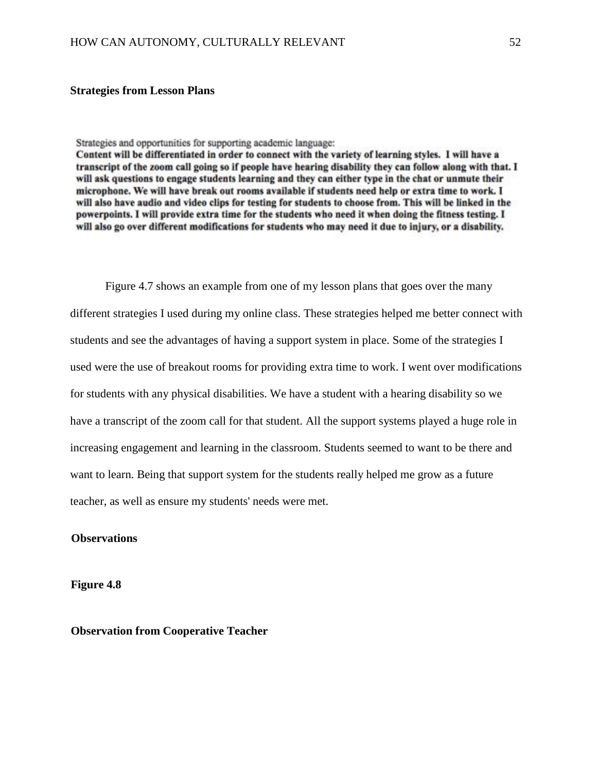#### **Strategies from Lesson Plans**

Strategies and opportunities for supporting academic language:

Content will be differentiated in order to connect with the variety of learning styles. I will have a transcript of the zoom call going so if people have hearing disability they can follow along with that. I will ask questions to engage students learning and they can either type in the chat or unmute their microphone. We will have break out rooms available if students need help or extra time to work. I will also have audio and video clips for testing for students to choose from. This will be linked in the powerpoints. I will provide extra time for the students who need it when doing the fitness testing. I will also go over different modifications for students who may need it due to injury, or a disability.

Figure 4.7 shows an example from one of my lesson plans that goes over the many different strategies I used during my online class. These strategies helped me better connect with students and see the advantages of having a support system in place. Some of the strategies I used were the use of breakout rooms for providing extra time to work. I went over modifications for students with any physical disabilities. We have a student with a hearing disability so we have a transcript of the zoom call for that student. All the support systems played a huge role in increasing engagement and learning in the classroom. Students seemed to want to be there and want to learn. Being that support system for the students really helped me grow as a future teacher, as well as ensure my students' needs were met.

# **Observations**

**Figure 4.8**

**Observation from Cooperative Teacher**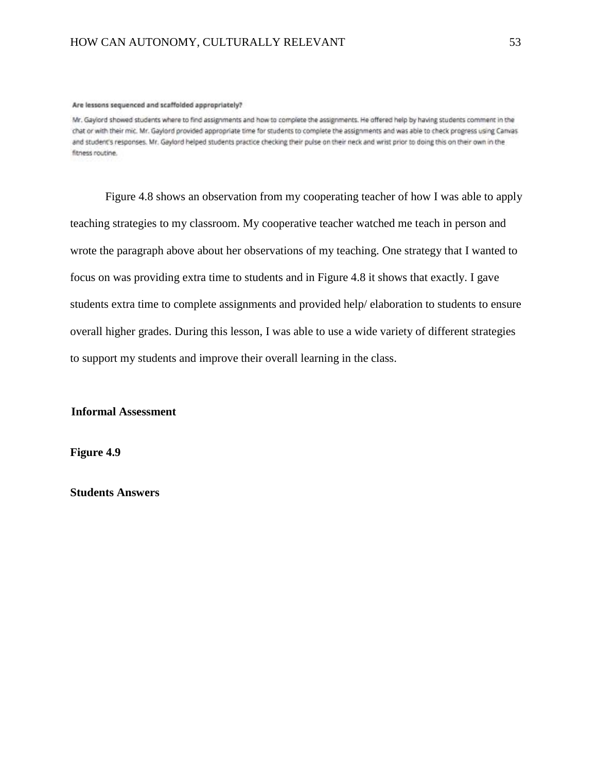#### Are lessons sequenced and scaffolded appropriately?

Mr. Gaylord showed students where to find assignments and how to complete the assignments. He offered help by having students comment in the chat or with their mic. Mr. Gaylord provided appropriate time for students to complete the assignments and was able to check progress using Canvas and student's responses. Mr. Gaylord helped students practice checking their pulse on their neck and wrist prior to doing this on their own in the fitness routine.

Figure 4.8 shows an observation from my cooperating teacher of how I was able to apply teaching strategies to my classroom. My cooperative teacher watched me teach in person and wrote the paragraph above about her observations of my teaching. One strategy that I wanted to focus on was providing extra time to students and in Figure 4.8 it shows that exactly. I gave students extra time to complete assignments and provided help/ elaboration to students to ensure overall higher grades. During this lesson, I was able to use a wide variety of different strategies to support my students and improve their overall learning in the class.

**Informal Assessment** 

**Figure 4.9**

**Students Answers**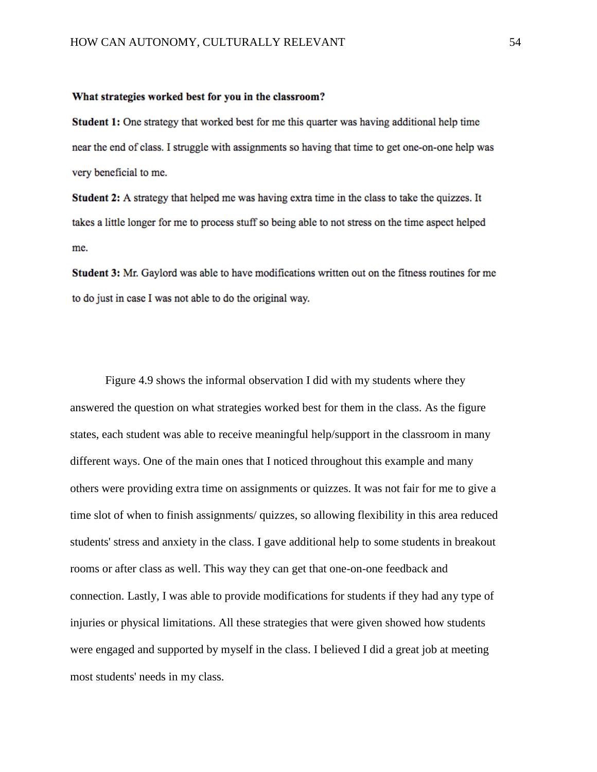#### What strategies worked best for you in the classroom?

Student 1: One strategy that worked best for me this quarter was having additional help time near the end of class. I struggle with assignments so having that time to get one-on-one help was very beneficial to me.

**Student 2:** A strategy that helped me was having extra time in the class to take the quizzes. It takes a little longer for me to process stuff so being able to not stress on the time aspect helped me.

Student 3: Mr. Gaylord was able to have modifications written out on the fitness routines for me to do just in case I was not able to do the original way.

Figure 4.9 shows the informal observation I did with my students where they answered the question on what strategies worked best for them in the class. As the figure states, each student was able to receive meaningful help/support in the classroom in many different ways. One of the main ones that I noticed throughout this example and many others were providing extra time on assignments or quizzes. It was not fair for me to give a time slot of when to finish assignments/ quizzes, so allowing flexibility in this area reduced students' stress and anxiety in the class. I gave additional help to some students in breakout rooms or after class as well. This way they can get that one-on-one feedback and connection. Lastly, I was able to provide modifications for students if they had any type of injuries or physical limitations. All these strategies that were given showed how students were engaged and supported by myself in the class. I believed I did a great job at meeting most students' needs in my class.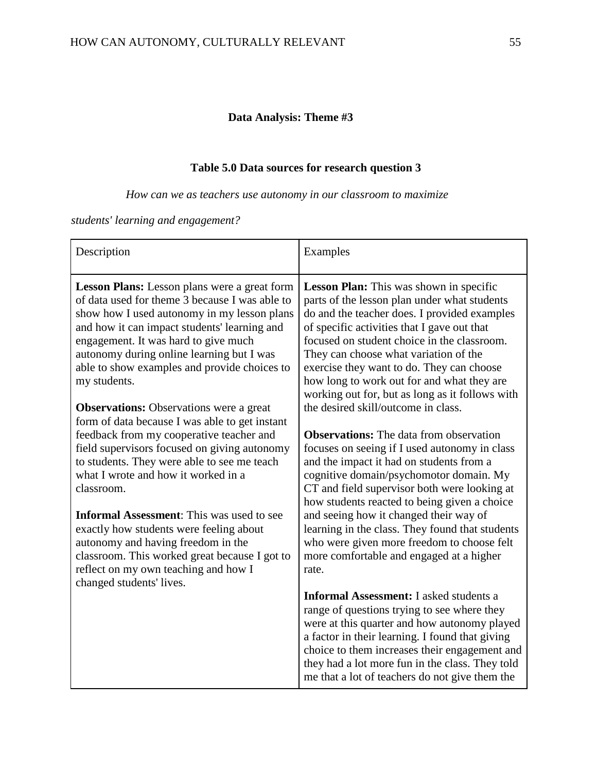# **Data Analysis: Theme #3**

# **Table 5.0 Data sources for research question 3**

*How can we as teachers use autonomy in our classroom to maximize* 

*students' learning and engagement?* 

| Description                                                                                                                                                                                                                                                                                                                                                                                                                                            | Examples                                                                                                                                                                                                                                                                                                                                                                                                                                                                               |
|--------------------------------------------------------------------------------------------------------------------------------------------------------------------------------------------------------------------------------------------------------------------------------------------------------------------------------------------------------------------------------------------------------------------------------------------------------|----------------------------------------------------------------------------------------------------------------------------------------------------------------------------------------------------------------------------------------------------------------------------------------------------------------------------------------------------------------------------------------------------------------------------------------------------------------------------------------|
| <b>Lesson Plans:</b> Lesson plans were a great form<br>of data used for theme 3 because I was able to<br>show how I used autonomy in my lesson plans<br>and how it can impact students' learning and<br>engagement. It was hard to give much<br>autonomy during online learning but I was<br>able to show examples and provide choices to<br>my students.                                                                                              | <b>Lesson Plan:</b> This was shown in specific<br>parts of the lesson plan under what students<br>do and the teacher does. I provided examples<br>of specific activities that I gave out that<br>focused on student choice in the classroom.<br>They can choose what variation of the<br>exercise they want to do. They can choose<br>how long to work out for and what they are<br>working out for, but as long as it follows with                                                    |
| <b>Observations:</b> Observations were a great<br>form of data because I was able to get instant                                                                                                                                                                                                                                                                                                                                                       | the desired skill/outcome in class.                                                                                                                                                                                                                                                                                                                                                                                                                                                    |
| feedback from my cooperative teacher and<br>field supervisors focused on giving autonomy<br>to students. They were able to see me teach<br>what I wrote and how it worked in a<br>classroom.<br><b>Informal Assessment:</b> This was used to see<br>exactly how students were feeling about<br>autonomy and having freedom in the<br>classroom. This worked great because I got to<br>reflect on my own teaching and how I<br>changed students' lives. | <b>Observations:</b> The data from observation<br>focuses on seeing if I used autonomy in class<br>and the impact it had on students from a<br>cognitive domain/psychomotor domain. My<br>CT and field supervisor both were looking at<br>how students reacted to being given a choice<br>and seeing how it changed their way of<br>learning in the class. They found that students<br>who were given more freedom to choose felt<br>more comfortable and engaged at a higher<br>rate. |
|                                                                                                                                                                                                                                                                                                                                                                                                                                                        | <b>Informal Assessment:</b> I asked students a<br>range of questions trying to see where they<br>were at this quarter and how autonomy played<br>a factor in their learning. I found that giving<br>choice to them increases their engagement and<br>they had a lot more fun in the class. They told<br>me that a lot of teachers do not give them the                                                                                                                                 |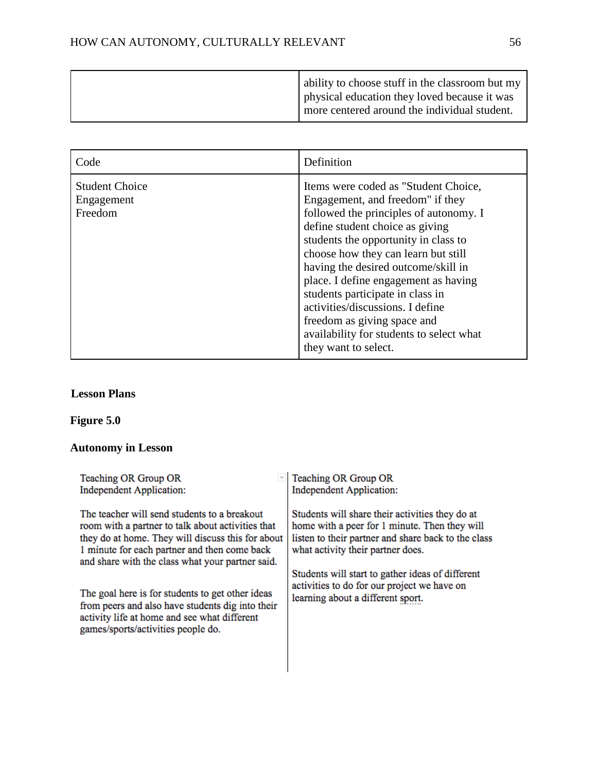|  | ability to choose stuff in the classroom but my<br>physical education they loved because it was<br>more centered around the individual student. |
|--|-------------------------------------------------------------------------------------------------------------------------------------------------|
|--|-------------------------------------------------------------------------------------------------------------------------------------------------|

| Code                                           | Definition                                                                                                                                                                                                                                                                                                                                                                                                                                                                                     |
|------------------------------------------------|------------------------------------------------------------------------------------------------------------------------------------------------------------------------------------------------------------------------------------------------------------------------------------------------------------------------------------------------------------------------------------------------------------------------------------------------------------------------------------------------|
| <b>Student Choice</b><br>Engagement<br>Freedom | Items were coded as "Student Choice,<br>Engagement, and freedom" if they<br>followed the principles of autonomy. I<br>define student choice as giving<br>students the opportunity in class to<br>choose how they can learn but still<br>having the desired outcome/skill in<br>place. I define engagement as having<br>students participate in class in<br>activities/discussions. I define<br>freedom as giving space and<br>availability for students to select what<br>they want to select. |

# **Lesson Plans**

# **Figure 5.0**

# **Autonomy in Lesson**

| Teaching OR Group OR<br><b>Independent Application:</b>                                                                                                                                                                                                    | Teaching OR Group OR<br><b>Independent Application:</b>                                                                                                                                      |
|------------------------------------------------------------------------------------------------------------------------------------------------------------------------------------------------------------------------------------------------------------|----------------------------------------------------------------------------------------------------------------------------------------------------------------------------------------------|
| The teacher will send students to a breakout<br>room with a partner to talk about activities that<br>they do at home. They will discuss this for about<br>1 minute for each partner and then come back<br>and share with the class what your partner said. | Students will share their activities they do at<br>home with a peer for 1 minute. Then they will<br>listen to their partner and share back to the class<br>what activity their partner does. |
| The goal here is for students to get other ideas<br>from peers and also have students dig into their<br>activity life at home and see what different<br>games/sports/activities people do.                                                                 | Students will start to gather ideas of different<br>activities to do for our project we have on<br>learning about a different sport.                                                         |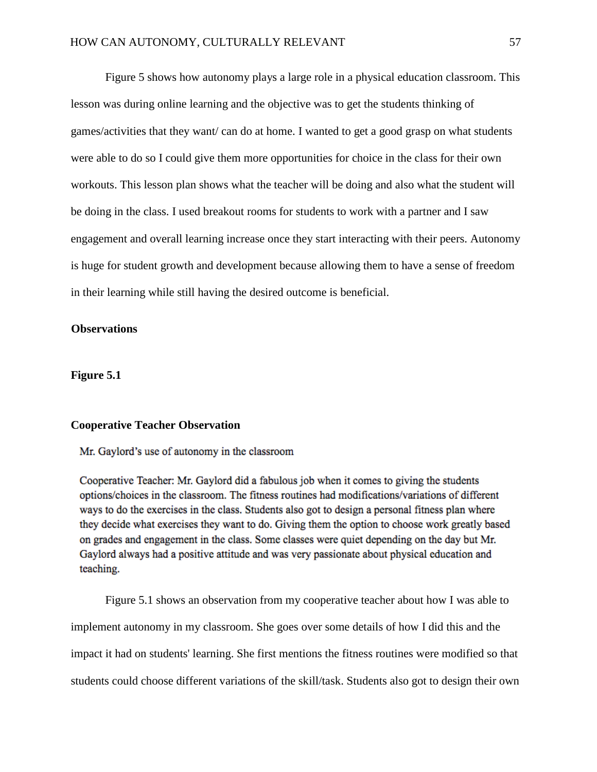Figure 5 shows how autonomy plays a large role in a physical education classroom. This lesson was during online learning and the objective was to get the students thinking of games/activities that they want/ can do at home. I wanted to get a good grasp on what students were able to do so I could give them more opportunities for choice in the class for their own workouts. This lesson plan shows what the teacher will be doing and also what the student will be doing in the class. I used breakout rooms for students to work with a partner and I saw engagement and overall learning increase once they start interacting with their peers. Autonomy is huge for student growth and development because allowing them to have a sense of freedom in their learning while still having the desired outcome is beneficial.

#### **Observations**

**Figure 5.1**

# **Cooperative Teacher Observation**

# Mr. Gaylord's use of autonomy in the classroom

Cooperative Teacher: Mr. Gaylord did a fabulous job when it comes to giving the students options/choices in the classroom. The fitness routines had modifications/variations of different ways to do the exercises in the class. Students also got to design a personal fitness plan where they decide what exercises they want to do. Giving them the option to choose work greatly based on grades and engagement in the class. Some classes were quiet depending on the day but Mr. Gaylord always had a positive attitude and was very passionate about physical education and teaching.

Figure 5.1 shows an observation from my cooperative teacher about how I was able to implement autonomy in my classroom. She goes over some details of how I did this and the impact it had on students' learning. She first mentions the fitness routines were modified so that students could choose different variations of the skill/task. Students also got to design their own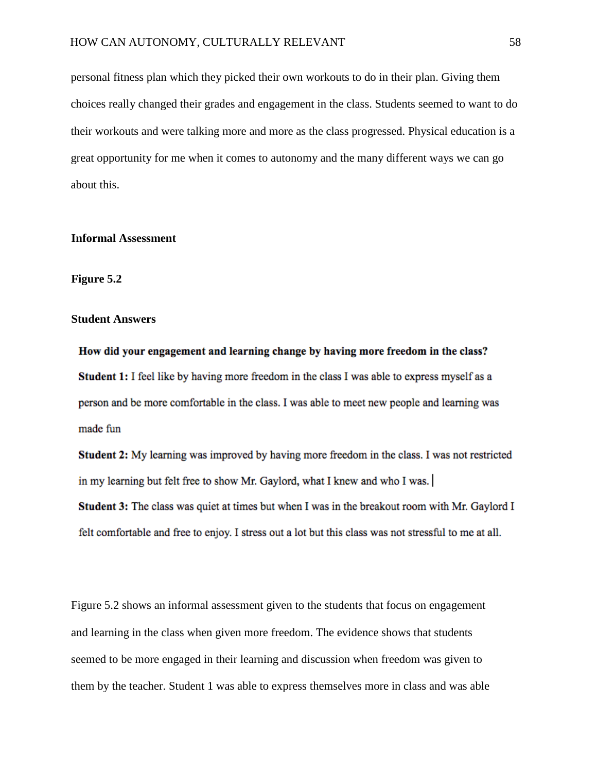personal fitness plan which they picked their own workouts to do in their plan. Giving them choices really changed their grades and engagement in the class. Students seemed to want to do their workouts and were talking more and more as the class progressed. Physical education is a great opportunity for me when it comes to autonomy and the many different ways we can go about this.

#### **Informal Assessment**

# **Figure 5.2**

# **Student Answers**

How did your engagement and learning change by having more freedom in the class? **Student 1:** I feel like by having more freedom in the class I was able to express myself as a person and be more comfortable in the class. I was able to meet new people and learning was made fun

**Student 2:** My learning was improved by having more freedom in the class. I was not restricted in my learning but felt free to show Mr. Gaylord, what I knew and who I was.

**Student 3:** The class was quiet at times but when I was in the breakout room with Mr. Gaylord I felt comfortable and free to enjoy. I stress out a lot but this class was not stressful to me at all.

Figure 5.2 shows an informal assessment given to the students that focus on engagement and learning in the class when given more freedom. The evidence shows that students seemed to be more engaged in their learning and discussion when freedom was given to them by the teacher. Student 1 was able to express themselves more in class and was able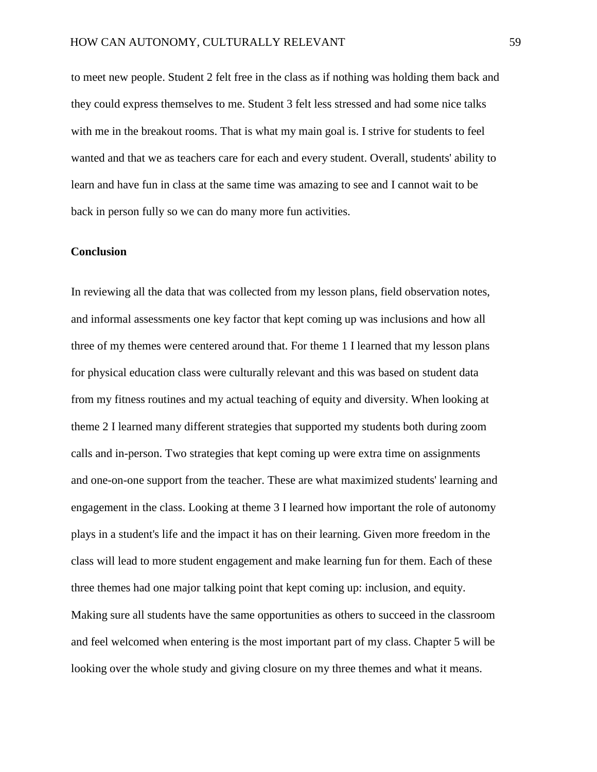to meet new people. Student 2 felt free in the class as if nothing was holding them back and they could express themselves to me. Student 3 felt less stressed and had some nice talks with me in the breakout rooms. That is what my main goal is. I strive for students to feel wanted and that we as teachers care for each and every student. Overall, students' ability to learn and have fun in class at the same time was amazing to see and I cannot wait to be back in person fully so we can do many more fun activities.

# **Conclusion**

In reviewing all the data that was collected from my lesson plans, field observation notes, and informal assessments one key factor that kept coming up was inclusions and how all three of my themes were centered around that. For theme 1 I learned that my lesson plans for physical education class were culturally relevant and this was based on student data from my fitness routines and my actual teaching of equity and diversity. When looking at theme 2 I learned many different strategies that supported my students both during zoom calls and in-person. Two strategies that kept coming up were extra time on assignments and one-on-one support from the teacher. These are what maximized students' learning and engagement in the class. Looking at theme 3 I learned how important the role of autonomy plays in a student's life and the impact it has on their learning. Given more freedom in the class will lead to more student engagement and make learning fun for them. Each of these three themes had one major talking point that kept coming up: inclusion, and equity. Making sure all students have the same opportunities as others to succeed in the classroom and feel welcomed when entering is the most important part of my class. Chapter 5 will be looking over the whole study and giving closure on my three themes and what it means.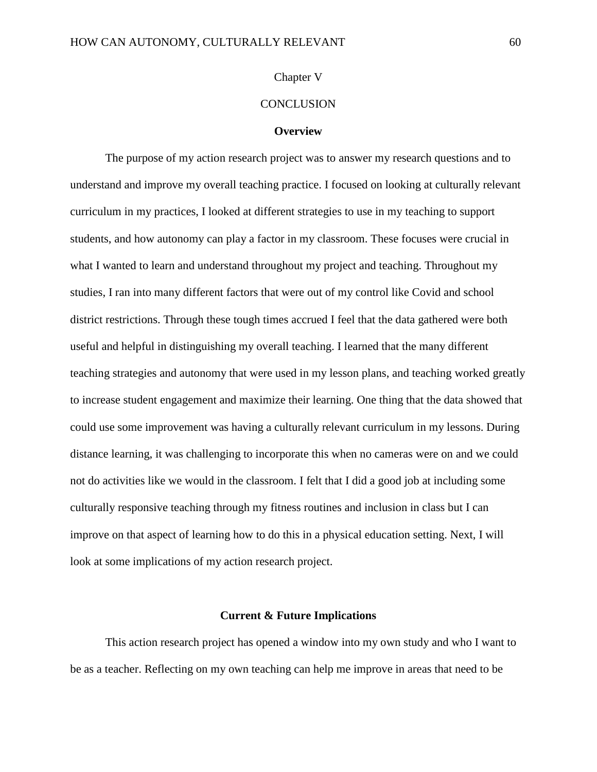# Chapter V

# **CONCLUSION**

#### **Overview**

The purpose of my action research project was to answer my research questions and to understand and improve my overall teaching practice. I focused on looking at culturally relevant curriculum in my practices, I looked at different strategies to use in my teaching to support students, and how autonomy can play a factor in my classroom. These focuses were crucial in what I wanted to learn and understand throughout my project and teaching. Throughout my studies, I ran into many different factors that were out of my control like Covid and school district restrictions. Through these tough times accrued I feel that the data gathered were both useful and helpful in distinguishing my overall teaching. I learned that the many different teaching strategies and autonomy that were used in my lesson plans, and teaching worked greatly to increase student engagement and maximize their learning. One thing that the data showed that could use some improvement was having a culturally relevant curriculum in my lessons. During distance learning, it was challenging to incorporate this when no cameras were on and we could not do activities like we would in the classroom. I felt that I did a good job at including some culturally responsive teaching through my fitness routines and inclusion in class but I can improve on that aspect of learning how to do this in a physical education setting. Next, I will look at some implications of my action research project.

#### **Current & Future Implications**

This action research project has opened a window into my own study and who I want to be as a teacher. Reflecting on my own teaching can help me improve in areas that need to be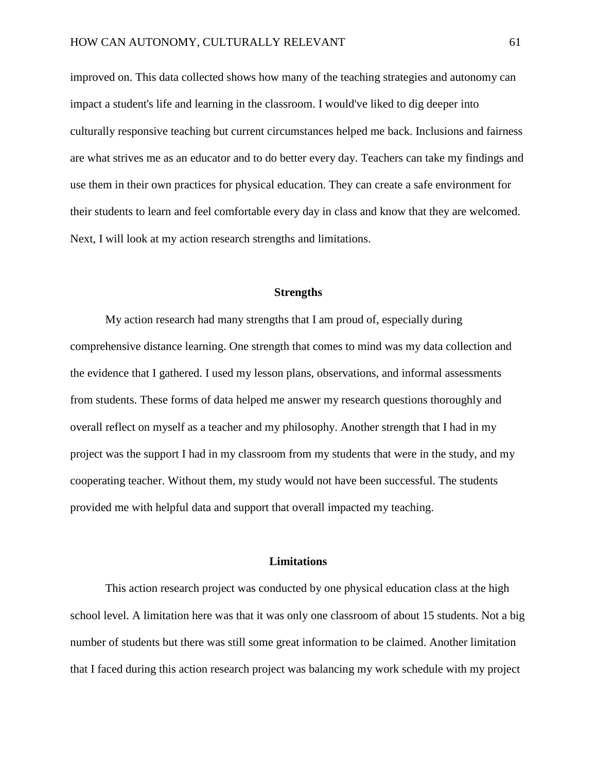improved on. This data collected shows how many of the teaching strategies and autonomy can impact a student's life and learning in the classroom. I would've liked to dig deeper into culturally responsive teaching but current circumstances helped me back. Inclusions and fairness are what strives me as an educator and to do better every day. Teachers can take my findings and use them in their own practices for physical education. They can create a safe environment for their students to learn and feel comfortable every day in class and know that they are welcomed. Next, I will look at my action research strengths and limitations.

#### **Strengths**

My action research had many strengths that I am proud of, especially during comprehensive distance learning. One strength that comes to mind was my data collection and the evidence that I gathered. I used my lesson plans, observations, and informal assessments from students. These forms of data helped me answer my research questions thoroughly and overall reflect on myself as a teacher and my philosophy. Another strength that I had in my project was the support I had in my classroom from my students that were in the study, and my cooperating teacher. Without them, my study would not have been successful. The students provided me with helpful data and support that overall impacted my teaching.

#### **Limitations**

This action research project was conducted by one physical education class at the high school level. A limitation here was that it was only one classroom of about 15 students. Not a big number of students but there was still some great information to be claimed. Another limitation that I faced during this action research project was balancing my work schedule with my project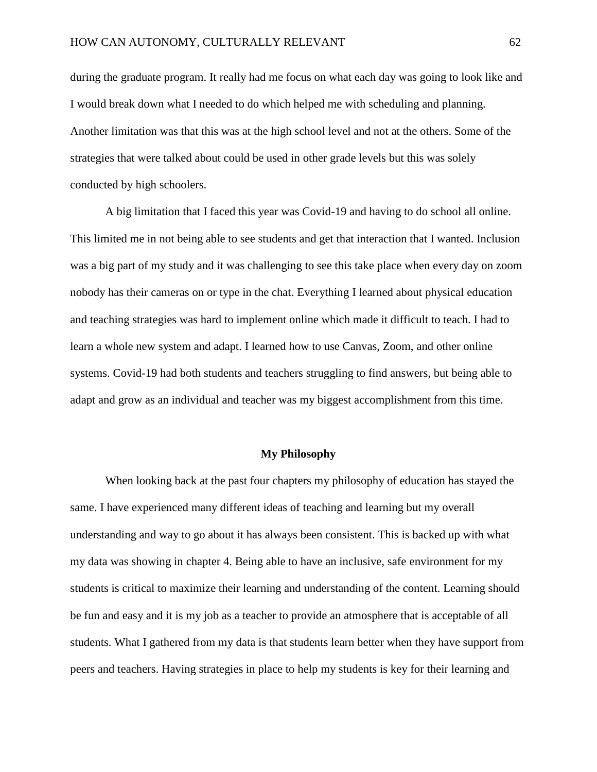during the graduate program. It really had me focus on what each day was going to look like and I would break down what I needed to do which helped me with scheduling and planning. Another limitation was that this was at the high school level and not at the others. Some of the strategies that were talked about could be used in other grade levels but this was solely conducted by high schoolers.

A big limitation that I faced this year was Covid-19 and having to do school all online. This limited me in not being able to see students and get that interaction that I wanted. Inclusion was a big part of my study and it was challenging to see this take place when every day on zoom nobody has their cameras on or type in the chat. Everything I learned about physical education and teaching strategies was hard to implement online which made it difficult to teach. I had to learn a whole new system and adapt. I learned how to use Canvas, Zoom, and other online systems. Covid-19 had both students and teachers struggling to find answers, but being able to adapt and grow as an individual and teacher was my biggest accomplishment from this time.

#### **My Philosophy**

When looking back at the past four chapters my philosophy of education has stayed the same. I have experienced many different ideas of teaching and learning but my overall understanding and way to go about it has always been consistent. This is backed up with what my data was showing in chapter 4. Being able to have an inclusive, safe environment for my students is critical to maximize their learning and understanding of the content. Learning should be fun and easy and it is my job as a teacher to provide an atmosphere that is acceptable of all students. What I gathered from my data is that students learn better when they have support from peers and teachers. Having strategies in place to help my students is key for their learning and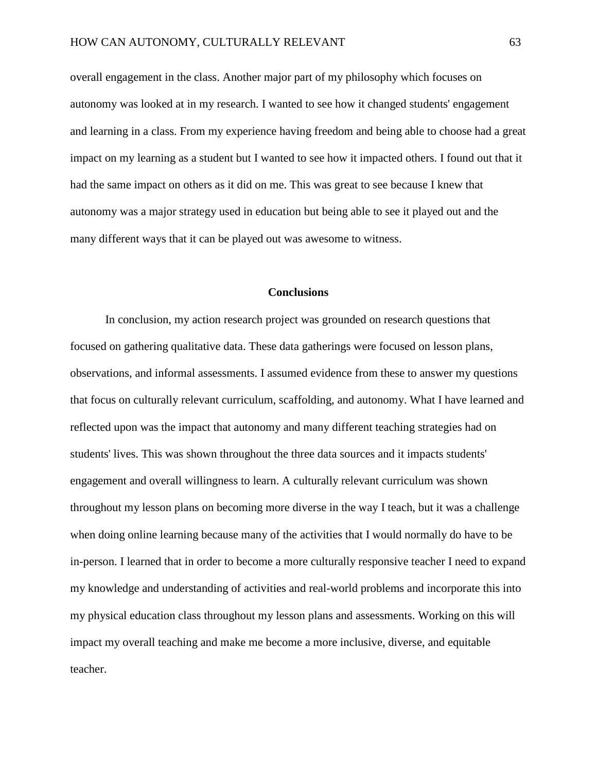overall engagement in the class. Another major part of my philosophy which focuses on autonomy was looked at in my research. I wanted to see how it changed students' engagement and learning in a class. From my experience having freedom and being able to choose had a great impact on my learning as a student but I wanted to see how it impacted others. I found out that it had the same impact on others as it did on me. This was great to see because I knew that autonomy was a major strategy used in education but being able to see it played out and the many different ways that it can be played out was awesome to witness.

# **Conclusions**

In conclusion, my action research project was grounded on research questions that focused on gathering qualitative data. These data gatherings were focused on lesson plans, observations, and informal assessments. I assumed evidence from these to answer my questions that focus on culturally relevant curriculum, scaffolding, and autonomy. What I have learned and reflected upon was the impact that autonomy and many different teaching strategies had on students' lives. This was shown throughout the three data sources and it impacts students' engagement and overall willingness to learn. A culturally relevant curriculum was shown throughout my lesson plans on becoming more diverse in the way I teach, but it was a challenge when doing online learning because many of the activities that I would normally do have to be in-person. I learned that in order to become a more culturally responsive teacher I need to expand my knowledge and understanding of activities and real-world problems and incorporate this into my physical education class throughout my lesson plans and assessments. Working on this will impact my overall teaching and make me become a more inclusive, diverse, and equitable teacher.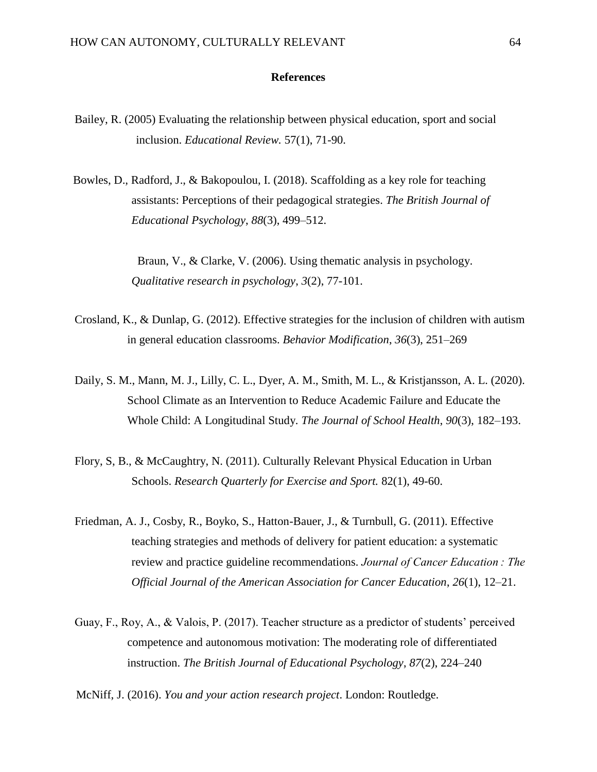## **References**

- Bailey, R. (2005) Evaluating the relationship between physical education, sport and social inclusion. *Educational Review.* 57(1), 71-90.
- Bowles, D., Radford, J., & Bakopoulou, I. (2018). Scaffolding as a key role for teaching assistants: Perceptions of their pedagogical strategies. *The British Journal of Educational Psychology*, *88*(3), 499–512.

 Braun, V., & Clarke, V. (2006). Using thematic analysis in psychology. *Qualitative research in psychology*, *3*(2), 77-101.

- Crosland, K., & Dunlap, G. (2012). Effective strategies for the inclusion of children with autism in general education classrooms. *Behavior Modification*, *36*(3), 251–269
- Daily, S. M., Mann, M. J., Lilly, C. L., Dyer, A. M., Smith, M. L., & Kristjansson, A. L. (2020). School Climate as an Intervention to Reduce Academic Failure and Educate the Whole Child: A Longitudinal Study. *The Journal of School Health*, *90*(3), 182–193.
- Flory, S, B., & McCaughtry, N. (2011). Culturally Relevant Physical Education in Urban Schools. *Research Quarterly for Exercise and Sport.* 82(1), 49-60.
- Friedman, A. J., Cosby, R., Boyko, S., Hatton-Bauer, J., & Turnbull, G. (2011). Effective teaching strategies and methods of delivery for patient education: a systematic review and practice guideline recommendations. *Journal of Cancer Education : The Official Journal of the American Association for Cancer Education*, *26*(1), 12–21.
- Guay, F., Roy, A., & Valois, P. (2017). Teacher structure as a predictor of students' perceived competence and autonomous motivation: The moderating role of differentiated instruction. *The British Journal of Educational Psychology*, *87*(2), 224–240

McNiff, J. (2016). *You and your action research project*. London: Routledge.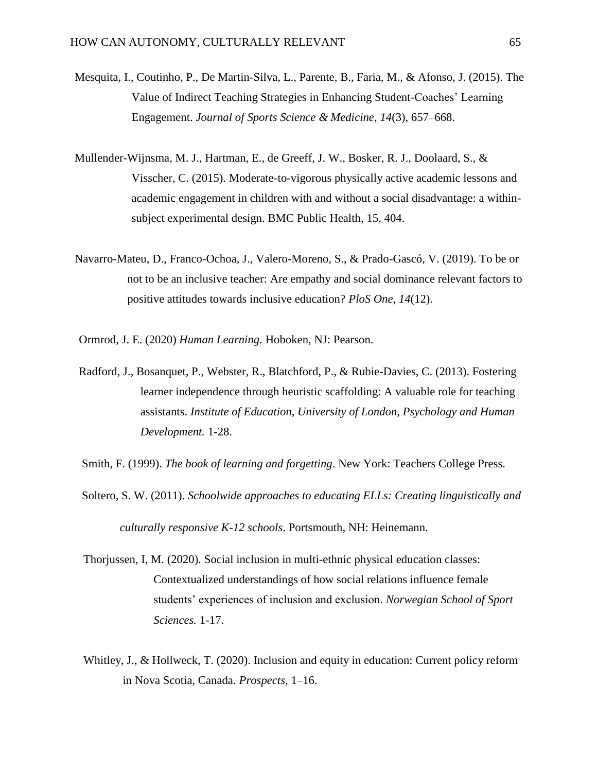- Mesquita, I., Coutinho, P., De Martin-Silva, L., Parente, B., Faria, M., & Afonso, J. (2015). The Value of Indirect Teaching Strategies in Enhancing Student-Coaches' Learning Engagement. *Journal of Sports Science & Medicine*, *14*(3), 657–668.
- Mullender-Wijnsma, M. J., Hartman, E., de Greeff, J. W., Bosker, R. J., Doolaard, S., & Visscher, C. (2015). Moderate-to-vigorous physically active academic lessons and academic engagement in children with and without a social disadvantage: a withinsubject experimental design. BMC Public Health, 15, 404.
- Navarro-Mateu, D., Franco-Ochoa, J., Valero-Moreno, S., & Prado-Gascó, V. (2019). To be or not to be an inclusive teacher: Are empathy and social dominance relevant factors to positive attitudes towards inclusive education? *PloS One*, *14*(12).
- Ormrod, J. E. (2020) *Human Learning.* Hoboken, NJ: Pearson.
- Radford, J., Bosanquet, P., Webster, R., Blatchford, P., & Rubie-Davies, C. (2013). Fostering learner independence through heuristic scaffolding: A valuable role for teaching assistants. *Institute of Education, University of London, Psychology and Human Development.* 1-28.
- Smith, F. (1999). *The book of learning and forgetting*. New York: Teachers College Press.
- Soltero, S. W. (2011). *Schoolwide approaches to educating ELLs: Creating linguistically and culturally responsive K-12 schools*. Portsmouth, NH: Heinemann.
- Thorjussen, I, M. (2020). Social inclusion in multi-ethnic physical education classes: Contextualized understandings of how social relations influence female students' experiences of inclusion and exclusion. *Norwegian School of Sport Sciences.* 1-17.
- Whitley, J., & Hollweck, T. (2020). Inclusion and equity in education: Current policy reform in Nova Scotia, Canada. *Prospects*, 1–16.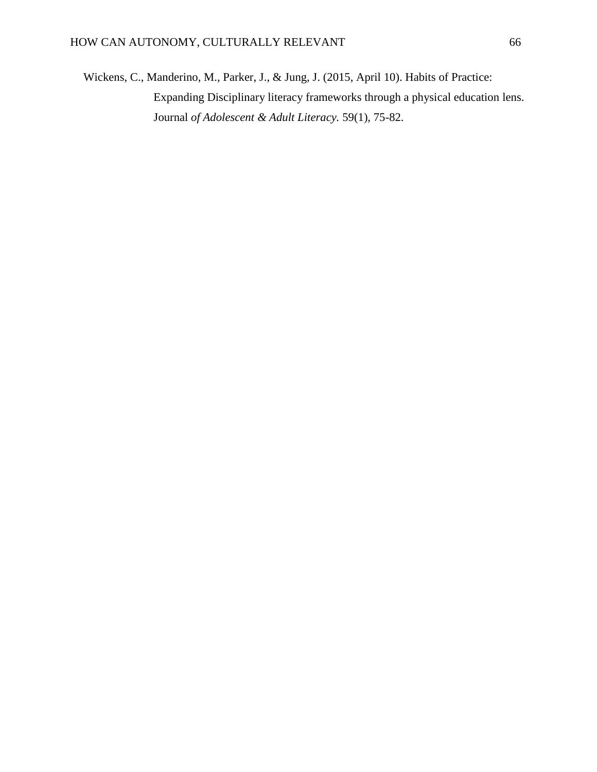Wickens, C., Manderino, M., Parker, J., & Jung, J. (2015, April 10). Habits of Practice: Expanding Disciplinary literacy frameworks through a physical education lens. Journal *of Adolescent & Adult Literacy.* 59(1), 75-82.